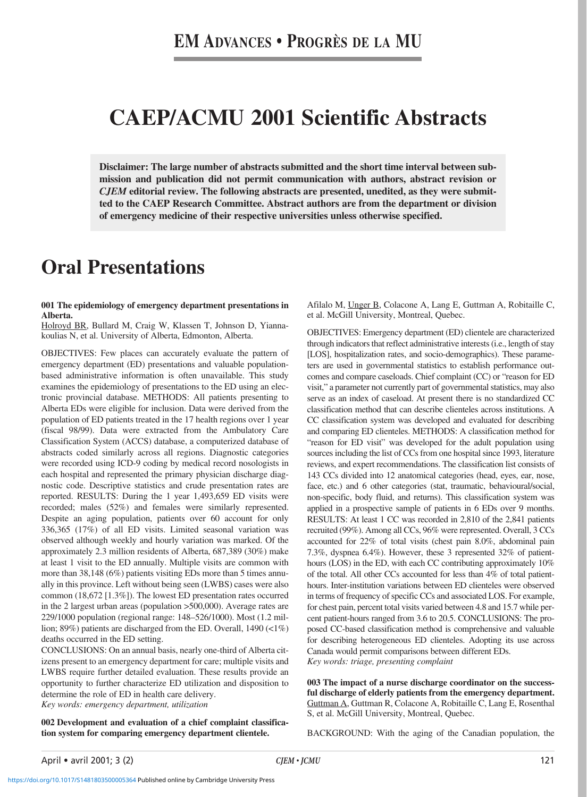# **CAEP/ACMU 2001 Scientific Abstracts**

**Disclaimer: The large number of abstracts submitted and the short time interval between submission and publication did not permit communication with authors, abstract revision or** *CJEM* **editorial review. The following abstracts are presented, unedited, as they were submitted to the CAEP Research Committee. Abstract authors are from the department or division of emergency medicine of their respective universities unless otherwise specified.**

# **Oral Presentations**

# **001 The epidemiology of emergency department presentations in Alberta.**

Holroyd BR, Bullard M, Craig W, Klassen T, Johnson D, Yiannakoulias N, et al. University of Alberta, Edmonton, Alberta.

OBJECTIVES: Few places can accurately evaluate the pattern of emergency department (ED) presentations and valuable populationbased administrative information is often unavailable. This study examines the epidemiology of presentations to the ED using an electronic provincial database. METHODS: All patients presenting to Alberta EDs were eligible for inclusion. Data were derived from the population of ED patients treated in the 17 health regions over 1 year (fiscal 98/99). Data were extracted from the Ambulatory Care Classification System (ACCS) database, a computerized database of abstracts coded similarly across all regions. Diagnostic categories were recorded using ICD-9 coding by medical record nosologists in each hospital and represented the primary physician discharge diagnostic code. Descriptive statistics and crude presentation rates are reported. RESULTS: During the 1 year 1,493,659 ED visits were recorded; males (52%) and females were similarly represented. Despite an aging population, patients over 60 account for only 336,365 (17%) of all ED visits. Limited seasonal variation was observed although weekly and hourly variation was marked. Of the approximately 2.3 million residents of Alberta, 687,389 (30%) make at least 1 visit to the ED annually. Multiple visits are common with more than 38,148 (6%) patients visiting EDs more than 5 times annually in this province. Left without being seen (LWBS) cases were also common (18,672 [1.3%]). The lowest ED presentation rates occurred in the 2 largest urban areas (population >500,000). Average rates are 229/1000 population (regional range: 148–526/1000). Most (1.2 million; 89%) patients are discharged from the ED. Overall, 1490 (<1%) deaths occurred in the ED setting.

CONCLUSIONS: On an annual basis, nearly one-third of Alberta citizens present to an emergency department for care; multiple visits and LWBS require further detailed evaluation. These results provide an opportunity to further characterize ED utilization and disposition to determine the role of ED in health care delivery.

*Key words: emergency department, utilization*

**002 Development and evaluation of a chief complaint classification system for comparing emergency department clientele.**

Afilalo M, Unger B, Colacone A, Lang E, Guttman A, Robitaille C, et al. McGill University, Montreal, Quebec.

OBJECTIVES: Emergency department (ED) clientele are characterized through indicators that reflect administrative interests (i.e., length of stay [LOS], hospitalization rates, and socio-demographics). These parameters are used in governmental statistics to establish performance outcomes and compare caseloads. Chief complaint (CC) or "reason for ED visit," a parameter not currently part of governmental statistics, may also serve as an index of caseload. At present there is no standardized CC classification method that can describe clienteles across institutions. A CC classification system was developed and evaluated for describing and comparing ED clienteles. METHODS: A classification method for "reason for ED visit" was developed for the adult population using sources including the list of CCs from one hospital since 1993, literature reviews, and expert recommendations. The classification list consists of 143 CCs divided into 12 anatomical categories (head, eyes, ear, nose, face, etc.) and 6 other categories (stat, traumatic, behavioural/social, non-specific, body fluid, and returns). This classification system was applied in a prospective sample of patients in 6 EDs over 9 months. RESULTS: At least 1 CC was recorded in 2,810 of the 2,841 patients recruited (99%). Among all CCs, 96% were represented. Overall, 3 CCs accounted for 22% of total visits (chest pain 8.0%, abdominal pain 7.3%, dyspnea 6.4%). However, these 3 represented 32% of patienthours (LOS) in the ED, with each CC contributing approximately 10% of the total. All other CCs accounted for less than 4% of total patienthours. Inter-institution variations between ED clienteles were observed in terms of frequency of specific CCs and associated LOS. For example, for chest pain, percent total visits varied between 4.8 and 15.7 while percent patient-hours ranged from 3.6 to 20.5. CONCLUSIONS: The proposed CC-based classification method is comprehensive and valuable for describing heterogeneous ED clienteles. Adopting its use across Canada would permit comparisons between different EDs. *Key words: triage, presenting complaint*

**003 The impact of a nurse discharge coordinator on the successful discharge of elderly patients from the emergency department.** Guttman A, Guttman R, Colacone A, Robitaille C, Lang E, Rosenthal S, et al. McGill University, Montreal, Quebec.

BACKGROUND: With the aging of the Canadian population, the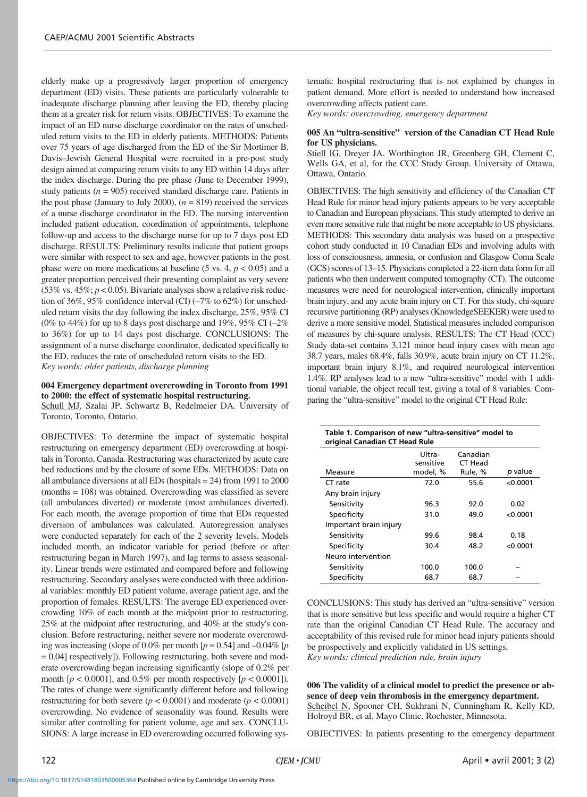elderly make up a progressively larger proportion of emergency department (ED) visits. These patients are particularly vulnerable to inadequate discharge planning after leaving the ED, thereby placing them at a greater risk for return visits. OBJECTIVES: To examine the impact of an ED nurse discharge coordinator on the rates of unscheduled return visits to the ED in elderly patients. METHODS: Patients over 75 years of age discharged from the ED of the Sir Mortimer B. Davis–Jewish General Hospital were recruited in a pre-post study design aimed at comparing return visits to any ED within 14 days after the index discharge. During the pre phase (June to December 1999), study patients  $(n = 905)$  received standard discharge care. Patients in the post phase (January to July 2000),  $(n = 819)$  received the services of a nurse discharge coordinator in the ED. The nursing intervention included patient education, coordination of appointments, telephone follow-up and access to the discharge nurse for up to 7 days post ED discharge. RESULTS: Preliminary results indicate that patient groups were similar with respect to sex and age, however patients in the post phase were on more medications at baseline  $(5 \text{ vs. } 4, p < 0.05)$  and a greater proportion perceived their presenting complaint as very severe (53% vs.  $45\%; p < 0.05$ ). Bivariate analyses show a relative risk reduction of 36%, 95% confidence interval (CI) (–7% to 62%) for unscheduled return visits the day following the index discharge, 25%, 95% CI (0% to 44%) for up to 8 days post discharge and 19%, 95% CI  $(-2\%$ to 36%) for up to 14 days post discharge. CONCLUSIONS: The assignment of a nurse discharge coordinator, dedicated specifically to the ED, reduces the rate of unscheduled return visits to the ED. *Key words: older patients, discharge planning*

# **004 Emergency department overcrowding in Toronto from 1991 to 2000: the effect of systematic hospital restructuring.**

Schull MJ, Szalai JP, Schwartz B, Redelmeier DA. University of Toronto, Toronto, Ontario.

OBJECTIVES: To determine the impact of systematic hospital restructuring on emergency department (ED) overcrowding at hospitals in Toronto, Canada. Restructuring was characterized by acute care bed reductions and by the closure of some EDs. METHODS: Data on all ambulance diversions at all EDs (hospitals = 24) from 1991 to 2000 (months = 108) was obtained. Overcrowding was classified as severe (all ambulances diverted) or moderate (most ambulances diverted). For each month, the average proportion of time that EDs requested diversion of ambulances was calculated. Autoregression analyses were conducted separately for each of the 2 severity levels. Models included month, an indicator variable for period (before or after restructuring began in March 1997), and lag terms to assess seasonality. Linear trends were estimated and compared before and following restructuring. Secondary analyses were conducted with three additional variables: monthly ED patient volume, average patient age, and the proportion of females. RESULTS: The average ED experienced overcrowding 10% of each month at the midpoint prior to restructuring, 25% at the midpoint after restructuring, and 40% at the study's conclusion. Before restructuring, neither severe nor moderate overcrowding was increasing (slope of 0.0% per month  $[p = 0.54]$  and  $-0.04\%$  [*p* = 0.04] respectively]). Following restructuring, both severe and moderate overcrowding began increasing significantly (slope of 0.2% per month  $[p < 0.0001]$ , and  $0.5\%$  per month respectively  $[p < 0.0001]$ ). The rates of change were significantly different before and following restructuring for both severe ( $p < 0.0001$ ) and moderate ( $p < 0.0001$ ) overcrowding. No evidence of seasonality was found. Results were similar after controlling for patient volume, age and sex. CONCLU-SIONS: A large increase in ED overcrowding occurred following systematic hospital restructuring that is not explained by changes in patient demand. More effort is needed to understand how increased overcrowding affects patient care.

*Key words: overcrowding, emergency department*

## **005 An "ultra-sensitive" version of the Canadian CT Head Rule for US physicians.**

Stiell IG, Dreyer JA, Worthington JR, Greenberg GH, Clement C, Wells GA, et al, for the CCC Study Group. University of Ottawa, Ottawa, Ontario.

OBJECTIVES: The high sensitivity and efficiency of the Canadian CT Head Rule for minor head injury patients appears to be very acceptable to Canadian and European physicians. This study attempted to derive an even more sensitive rule that might be more acceptable to US physicians. METHODS: This secondary data analysis was based on a prospective cohort study conducted in 10 Canadian EDs and involving adults with loss of consciousness, amnesia, or confusion and Glasgow Coma Scale (GCS) scores of 13–15. Physicians completed a 22-item data form for all patients who then underwent computed tomography (CT). The outcome measures were need for neurological intervention, clinically important brain injury, and any acute brain injury on CT. For this study, chi-square recursive partitioning (RP) analyses (KnowledgeSEEKER) were used to derive a more sensitive model. Statistical measures included comparison of measures by chi-square analysis. RESULTS: The CT Head (CCC) Study data-set contains 3,121 minor head injury cases with mean age 38.7 years, males 68.4%, falls 30.9%, acute brain injury on CT 11.2%, important brain injury 8.1%, and required neurological intervention 1.4%. RP analyses lead to a new "ultra-sensitive" model with 1 additional variable, the object recall test, giving a total of 8 variables. Comparing the "ultra-sensitive" model to the original CT Head Rule:

| Table 1. Comparison of new "ultra-sensitive" model to<br>original Canadian CT Head Rule |                                 |                                |          |  |  |
|-----------------------------------------------------------------------------------------|---------------------------------|--------------------------------|----------|--|--|
| Measure                                                                                 | Ultra-<br>sensitive<br>model, % | Canadian<br>CT Head<br>Rule, % | p value  |  |  |
| CT rate                                                                                 | 72.0                            | 55.6                           | < 0.0001 |  |  |
| Any brain injury                                                                        |                                 |                                |          |  |  |
| Sensitivity                                                                             | 96.3                            | 92.0                           | 0.02     |  |  |
| Specificity                                                                             | 31.0                            | 49.0                           | < 0.0001 |  |  |
| Important brain injury                                                                  |                                 |                                |          |  |  |
| Sensitivity                                                                             | 99.6                            | 98.4                           | 0.18     |  |  |
| Specificity                                                                             | 30.4                            | 48.2                           | < 0.0001 |  |  |
| Neuro intervention                                                                      |                                 |                                |          |  |  |
| Sensitivity                                                                             | 100.0                           | 100.0                          |          |  |  |
| Specificity                                                                             | 68.7                            | 68.7                           |          |  |  |

CONCLUSIONS: This study has derived an "ultra-sensitive" version that is more sensitive but less specific and would require a higher CT rate than the original Canadian CT Head Rule. The accuracy and acceptability of this revised rule for minor head injury patients should be prospectively and explicitly validated in US settings. *Key words: clinical prediction rule, brain injury*

**006 The validity of a clinical model to predict the presence or absence of deep vein thrombosis in the emergency department.** Scheibel N, Spooner CH, Sukhrani N, Cunningham R, Kelly KD, Holroyd BR, et al. Mayo Clinic, Rochester, Minnesota.

OBJECTIVES: In patients presenting to the emergency department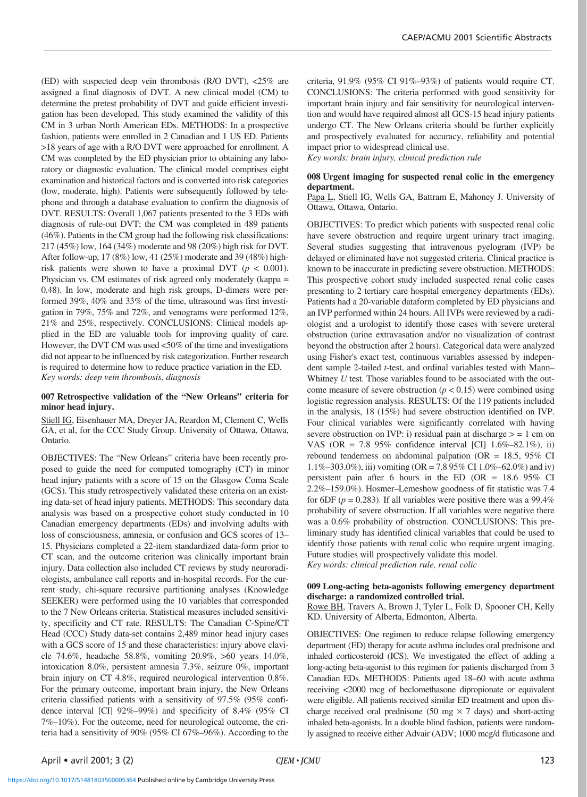(ED) with suspected deep vein thrombosis (R/O DVT), <25% are assigned a final diagnosis of DVT. A new clinical model (CM) to determine the pretest probability of DVT and guide efficient investigation has been developed. This study examined the validity of this CM in 3 urban North American EDs. METHODS: In a prospective fashion, patients were enrolled in 2 Canadian and 1 US ED. Patients >18 years of age with a R/O DVT were approached for enrollment. A CM was completed by the ED physician prior to obtaining any laboratory or diagnostic evaluation. The clinical model comprises eight examination and historical factors and is converted into risk categories (low, moderate, high). Patients were subsequently followed by telephone and through a database evaluation to confirm the diagnosis of DVT. RESULTS: Overall 1,067 patients presented to the 3 EDs with diagnosis of rule-out DVT; the CM was completed in 489 patients (46%). Patients in the CM group had the following risk classifications: 217 (45%) low, 164 (34%) moderate and 98 (20%) high risk for DVT. After follow-up, 17 (8%) low, 41 (25%) moderate and 39 (48%) highrisk patients were shown to have a proximal DVT ( $p < 0.001$ ). Physician vs. CM estimates of risk agreed only moderately (kappa = 0.48). In low, moderate and high risk groups, D-dimers were performed 39%, 40% and 33% of the time, ultrasound was first investigation in 79%, 75% and 72%, and venograms were performed 12%, 21% and 25%, respectively. CONCLUSIONS: Clinical models applied in the ED are valuable tools for improving quality of care. However, the DVT CM was used <50% of the time and investigations did not appear to be influenced by risk categorization. Further research is required to determine how to reduce practice variation in the ED. *Key words: deep vein thrombosis, diagnosis*

### **007 Retrospective validation of the "New Orleans" criteria for minor head injury.**

Stiell IG, Eisenhauer MA, Dreyer JA, Reardon M, Clement C, Wells GA, et al, for the CCC Study Group. University of Ottawa, Ottawa, Ontario.

OBJECTIVES: The "New Orleans" criteria have been recently proposed to guide the need for computed tomography (CT) in minor head injury patients with a score of 15 on the Glasgow Coma Scale (GCS). This study retrospectively validated these criteria on an existing data-set of head injury patients. METHODS: This secondary data analysis was based on a prospective cohort study conducted in 10 Canadian emergency departments (EDs) and involving adults with loss of consciousness, amnesia, or confusion and GCS scores of 13– 15. Physicians completed a 22-item standardized data-form prior to CT scan, and the outcome criterion was clinically important brain injury. Data collection also included CT reviews by study neuroradiologists, ambulance call reports and in-hospital records. For the current study, chi-square recursive partitioning analyses (Knowledge SEEKER) were performed using the 10 variables that corresponded to the 7 New Orleans criteria. Statistical measures included sensitivity, specificity and CT rate. RESULTS: The Canadian C-Spine/CT Head (CCC) Study data-set contains 2,489 minor head injury cases with a GCS score of 15 and these characteristics: injury above clavicle 74.6%, headache 58.8%, vomiting 20.9%, >60 years 14.0%, intoxication 8.0%, persistent amnesia 7.3%, seizure 0%, important brain injury on CT 4.8%, required neurological intervention 0.8%. For the primary outcome, important brain injury, the New Orleans criteria classified patients with a sensitivity of 97.5% (95% confidence interval [CI] 92%–99%) and specificity of 8.4% (95% CI 7%–10%). For the outcome, need for neurological outcome, the criteria had a sensitivity of 90% (95% CI 67%–96%). According to the

criteria, 91.9% (95% CI 91%–93%) of patients would require CT. CONCLUSIONS: The criteria performed with good sensitivity for important brain injury and fair sensitivity for neurological intervention and would have required almost all GCS-15 head injury patients undergo CT. The New Orleans criteria should be further explicitly and prospectively evaluated for accuracy, reliability and potential impact prior to widespread clinical use.

*Key words: brain injury, clinical prediction rule*

# **008 Urgent imaging for suspected renal colic in the emergency department.**

Papa L, Stiell IG, Wells GA, Battram E, Mahoney J. University of Ottawa, Ottawa, Ontario.

OBJECTIVES: To predict which patients with suspected renal colic have severe obstruction and require urgent urinary tract imaging. Several studies suggesting that intravenous pyelogram (IVP) be delayed or eliminated have not suggested criteria. Clinical practice is known to be inaccurate in predicting severe obstruction. METHODS: This prospective cohort study included suspected renal colic cases presenting to 2 tertiary care hospital emergency departments (EDs). Patients had a 20-variable dataform completed by ED physicians and an IVP performed within 24 hours. All IVPs were reviewed by a radiologist and a urologist to identify those cases with severe ureteral obstruction (urine extravasation and/or no visualization of contrast beyond the obstruction after 2 hours). Categorical data were analyzed using Fisher's exact test, continuous variables assessed by independent sample 2-tailed *t*-test, and ordinal variables tested with Mann– Whitney *U* test. Those variables found to be associated with the outcome measure of severe obstruction  $(p < 0.15)$  were combined using logistic regression analysis. RESULTS: Of the 119 patients included in the analysis, 18 (15%) had severe obstruction identified on IVP. Four clinical variables were significantly correlated with having severe obstruction on IVP: i) residual pain at discharge  $> = 1$  cm on VAS (OR = 7.8 95% confidence interval [CI] 1.6%–82.1%), ii) rebound tenderness on abdominal palpation (OR =  $18.5$ , 95% CI 1.1%–303.0%), iii) vomiting (OR = 7.8 95% CI 1.0%–62.0%) and iv) persistent pain after 6 hours in the ED (OR = 18.6 95% CI 2.2%–159.0%). Hosmer–Lemeshow goodness of fit statistic was 7.4 for 6DF ( $p = 0.283$ ). If all variables were positive there was a 99.4% probability of severe obstruction. If all variables were negative there was a 0.6% probability of obstruction. CONCLUSIONS: This preliminary study has identified clinical variables that could be used to identify those patients with renal colic who require urgent imaging. Future studies will prospectively validate this model. *Key words: clinical prediction rule, renal colic*

# **009 Long-acting beta-agonists following emergency department discharge: a randomized controlled trial.**

Rowe BH, Travers A, Brown J, Tyler L, Folk D, Spooner CH, Kelly KD. University of Alberta, Edmonton, Alberta.

OBJECTIVES: One regimen to reduce relapse following emergency department (ED) therapy for acute asthma includes oral prednisone and inhaled corticosteroid (ICS). We investigated the effect of adding a long-acting beta-agonist to this regimen for patients discharged from 3 Canadian EDs. METHODS: Patients aged 18–60 with acute asthma receiving <2000 mcg of beclomethasone dipropionate or equivalent were eligible. All patients received similar ED treatment and upon discharge received oral prednisone (50 mg  $\times$  7 days) and short-acting inhaled beta-agonists. In a double blind fashion, patients were randomly assigned to receive either Advair (ADV; 1000 mcg/d fluticasone and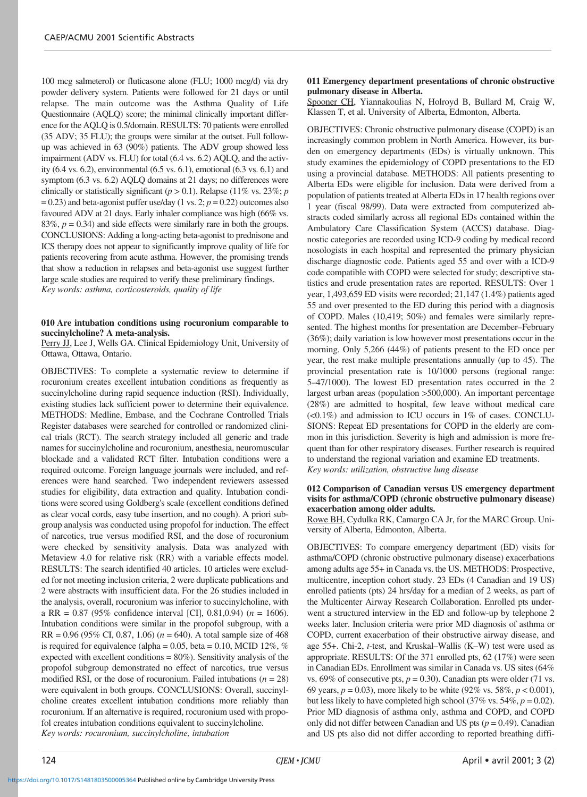100 mcg salmeterol) or fluticasone alone (FLU; 1000 mcg/d) via dry powder delivery system. Patients were followed for 21 days or until relapse. The main outcome was the Asthma Quality of Life Questionnaire (AQLQ) score; the minimal clinically important difference for the AQLQ is 0.5/domain. RESULTS: 70 patients were enrolled (35 ADV; 35 FLU); the groups were similar at the outset. Full followup was achieved in 63 (90%) patients. The ADV group showed less impairment (ADV vs. FLU) for total (6.4 vs. 6.2) AQLQ, and the activity (6.4 vs. 6.2), environmental (6.5 vs. 6.1), emotional (6.3 vs. 6.1) and symptom (6.3 vs. 6.2) AQLQ domains at 21 days; no differences were clinically or statistically significant  $(p > 0.1)$ . Relapse (11% vs. 23%; *p*  $= 0.23$ ) and beta-agonist puffer use/day (1 vs. 2;  $p = 0.22$ ) outcomes also favoured ADV at 21 days. Early inhaler compliance was high (66% vs. 83%,  $p = 0.34$ ) and side effects were similarly rare in both the groups. CONCLUSIONS: Adding a long-acting beta-agonist to prednisone and ICS therapy does not appear to significantly improve quality of life for patients recovering from acute asthma. However, the promising trends that show a reduction in relapses and beta-agonist use suggest further large scale studies are required to verify these preliminary findings. *Key words: asthma, corticosteroids, quality of life*

# **010 Are intubation conditions using rocuronium comparable to succinylcholine? A meta-analysis.**

Perry JJ, Lee J, Wells GA. Clinical Epidemiology Unit, University of Ottawa, Ottawa, Ontario.

OBJECTIVES: To complete a systematic review to determine if rocuronium creates excellent intubation conditions as frequently as succinylcholine during rapid sequence induction (RSI). Individually, existing studies lack sufficient power to determine their equivalence. METHODS: Medline, Embase, and the Cochrane Controlled Trials Register databases were searched for controlled or randomized clinical trials (RCT). The search strategy included all generic and trade names for succinylcholine and rocuronium, anesthesia, neuromuscular blockade and a validated RCT filter. Intubation conditions were a required outcome. Foreign language journals were included, and references were hand searched. Two independent reviewers assessed studies for eligibility, data extraction and quality. Intubation conditions were scored using Goldberg's scale (excellent conditions defined as clear vocal cords, easy tube insertion, and no cough). A priori subgroup analysis was conducted using propofol for induction. The effect of narcotics, true versus modified RSI, and the dose of rocuronium were checked by sensitivity analysis. Data was analyzed with Metaview 4.0 for relative risk (RR) with a variable effects model. RESULTS: The search identified 40 articles. 10 articles were excluded for not meeting inclusion criteria, 2 were duplicate publications and 2 were abstracts with insufficient data. For the 26 studies included in the analysis, overall, rocuronium was inferior to succinylcholine, with a RR = 0.87 (95% confidence interval [CI], 0.81,0.94) (*n* = 1606). Intubation conditions were similar in the propofol subgroup, with a  $RR = 0.96$  (95% CI, 0.87, 1.06) ( $n = 640$ ). A total sample size of 468 is required for equivalence (alpha =  $0.05$ , beta =  $0.10$ , MCID 12%, % expected with excellent conditions = 80%). Sensitivity analysis of the propofol subgroup demonstrated no effect of narcotics, true versus modified RSI, or the dose of rocuronium. Failed intubations  $(n = 28)$ were equivalent in both groups. CONCLUSIONS: Overall, succinylcholine creates excellent intubation conditions more reliably than rocuronium. If an alternative is required, rocuronium used with propofol creates intubation conditions equivalent to succinylcholine. *Key words: rocuronium, succinylcholine, intubation*

#### **011 Emergency department presentations of chronic obstructive pulmonary disease in Alberta.**

Spooner CH, Yiannakoulias N, Holroyd B, Bullard M, Craig W, Klassen T, et al. University of Alberta, Edmonton, Alberta.

OBJECTIVES: Chronic obstructive pulmonary disease (COPD) is an increasingly common problem in North America. However, its burden on emergency departments (EDs) is virtually unknown. This study examines the epidemiology of COPD presentations to the ED using a provincial database. METHODS: All patients presenting to Alberta EDs were eligible for inclusion. Data were derived from a population of patients treated at Alberta EDs in 17 health regions over 1 year (fiscal 98/99). Data were extracted from computerized abstracts coded similarly across all regional EDs contained within the Ambulatory Care Classification System (ACCS) database. Diagnostic categories are recorded using ICD-9 coding by medical record nosologists in each hospital and represented the primary physician discharge diagnostic code. Patients aged 55 and over with a ICD-9 code compatible with COPD were selected for study; descriptive statistics and crude presentation rates are reported. RESULTS: Over 1 year, 1,493,659 ED visits were recorded; 21,147 (1.4%) patients aged 55 and over presented to the ED during this period with a diagnosis of COPD. Males (10,419; 50%) and females were similarly represented. The highest months for presentation are December–February (36%); daily variation is low however most presentations occur in the morning. Only 5,266 (44%) of patients present to the ED once per year, the rest make multiple presentations annually (up to 45). The provincial presentation rate is 10/1000 persons (regional range: 5–47/1000). The lowest ED presentation rates occurred in the 2 largest urban areas (population >500,000). An important percentage (28%) are admitted to hospital, few leave without medical care (<0.1%) and admission to ICU occurs in 1% of cases. CONCLU-SIONS: Repeat ED presentations for COPD in the elderly are common in this jurisdiction. Severity is high and admission is more frequent than for other respiratory diseases. Further research is required to understand the regional variation and examine ED treatments. *Key words: utilization, obstructive lung disease*

#### **012 Comparison of Canadian versus US emergency department visits for asthma/COPD (chronic obstructive pulmonary disease) exacerbation among older adults.**

Rowe BH, Cydulka RK, Camargo CA Jr, for the MARC Group. University of Alberta, Edmonton, Alberta.

OBJECTIVES: To compare emergency department (ED) visits for asthma/COPD (chronic obstructive pulmonary disease) exacerbations among adults age 55+ in Canada vs. the US. METHODS: Prospective, multicentre, inception cohort study. 23 EDs (4 Canadian and 19 US) enrolled patients (pts) 24 hrs/day for a median of 2 weeks, as part of the Multicenter Airway Research Collaboration. Enrolled pts underwent a structured interview in the ED and follow-up by telephone 2 weeks later. Inclusion criteria were prior MD diagnosis of asthma or COPD, current exacerbation of their obstructive airway disease, and age 55+. Chi-2, *t*-test, and Kruskal–Wallis (K–W) test were used as appropriate. RESULTS: Of the 371 enrolled pts, 62 (17%) were seen in Canadian EDs. Enrollment was similar in Canada vs. US sites (64% vs. 69% of consecutive pts,  $p = 0.30$ ). Canadian pts were older (71 vs. 69 years, *p* = 0.03), more likely to be white (92% vs. 58%, *p* < 0.001), but less likely to have completed high school  $(37\% \text{ vs. } 54\%, p = 0.02)$ . Prior MD diagnosis of asthma only, asthma and COPD, and COPD only did not differ between Canadian and US pts  $(p = 0.49)$ . Canadian and US pts also did not differ according to reported breathing diffi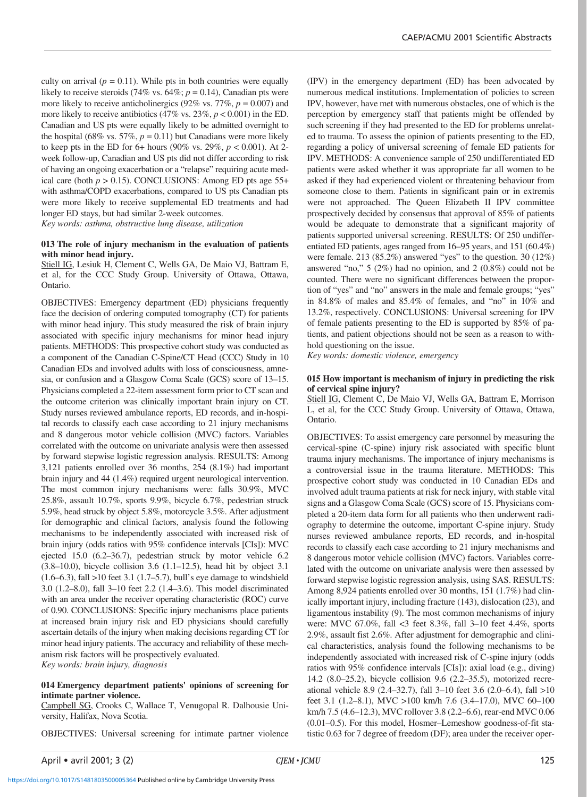culty on arrival  $(p = 0.11)$ . While pts in both countries were equally likely to receive steroids (74% vs.  $64\%$ ;  $p = 0.14$ ), Canadian pts were more likely to receive anticholinergics (92% vs.  $77\%$ ,  $p = 0.007$ ) and more likely to receive antibiotics  $(47\% \text{ vs. } 23\%, p < 0.001)$  in the ED. Canadian and US pts were equally likely to be admitted overnight to the hospital (68% vs. 57%,  $p = 0.11$ ) but Canadians were more likely to keep pts in the ED for 6+ hours (90% vs. 29%, *p* < 0.001). At 2 week follow-up, Canadian and US pts did not differ according to risk of having an ongoing exacerbation or a "relapse" requiring acute medical care (both  $p > 0.15$ ). CONCLUSIONS: Among ED pts age 55+ with asthma/COPD exacerbations, compared to US pts Canadian pts were more likely to receive supplemental ED treatments and had longer ED stays, but had similar 2-week outcomes.

*Key words: asthma, obstructive lung disease, utilization*

# **013 The role of injury mechanism in the evaluation of patients with minor head injury.**

Stiell IG, Lesiuk H, Clement C, Wells GA, De Maio VJ, Battram E, et al, for the CCC Study Group. University of Ottawa, Ottawa, Ontario.

OBJECTIVES: Emergency department (ED) physicians frequently face the decision of ordering computed tomography (CT) for patients with minor head injury. This study measured the risk of brain injury associated with specific injury mechanisms for minor head injury patients. METHODS: This prospective cohort study was conducted as a component of the Canadian C-Spine/CT Head (CCC) Study in 10 Canadian EDs and involved adults with loss of consciousness, amnesia, or confusion and a Glasgow Coma Scale (GCS) score of 13–15. Physicians completed a 22-item assessment form prior to CT scan and the outcome criterion was clinically important brain injury on CT. Study nurses reviewed ambulance reports, ED records, and in-hospital records to classify each case according to 21 injury mechanisms and 8 dangerous motor vehicle collision (MVC) factors. Variables correlated with the outcome on univariate analysis were then assessed by forward stepwise logistic regression analysis. RESULTS: Among 3,121 patients enrolled over 36 months, 254 (8.1%) had important brain injury and 44 (1.4%) required urgent neurological intervention. The most common injury mechanisms were: falls 30.9%, MVC 25.8%, assault 10.7%, sports 9.9%, bicycle 6.7%, pedestrian struck 5.9%, head struck by object 5.8%, motorcycle 3.5%. After adjustment for demographic and clinical factors, analysis found the following mechanisms to be independently associated with increased risk of brain injury (odds ratios with 95% confidence intervals [CIs]): MVC ejected 15.0 (6.2–36.7), pedestrian struck by motor vehicle 6.2 (3.8–10.0), bicycle collision 3.6 (1.1–12.5), head hit by object 3.1 (1.6–6.3), fall >10 feet 3.1 (1.7–5.7), bull's eye damage to windshield 3.0 (1.2–8.0), fall 3–10 feet 2.2 (1.4–3.6). This model discriminated with an area under the receiver operating characteristic (ROC) curve of 0.90. CONCLUSIONS: Specific injury mechanisms place patients at increased brain injury risk and ED physicians should carefully ascertain details of the injury when making decisions regarding CT for minor head injury patients. The accuracy and reliability of these mechanism risk factors will be prospectively evaluated. *Key words: brain injury, diagnosis*

#### **014 Emergency department patients' opinions of screening for intimate partner violence.**

Campbell SG, Crooks C, Wallace T, Venugopal R. Dalhousie University, Halifax, Nova Scotia.

OBJECTIVES: Universal screening for intimate partner violence

(IPV) in the emergency department (ED) has been advocated by numerous medical institutions. Implementation of policies to screen IPV, however, have met with numerous obstacles, one of which is the perception by emergency staff that patients might be offended by such screening if they had presented to the ED for problems unrelated to trauma. To assess the opinion of patients presenting to the ED, regarding a policy of universal screening of female ED patients for IPV. METHODS: A convenience sample of 250 undifferentiated ED patients were asked whether it was appropriate far all women to be asked if they had experienced violent or threatening behaviour from someone close to them. Patients in significant pain or in extremis were not approached. The Queen Elizabeth II IPV committee prospectively decided by consensus that approval of 85% of patients would be adequate to demonstrate that a significant majority of patients supported universal screening. RESULTS: Of 250 undifferentiated ED patients, ages ranged from 16–95 years, and 151 (60.4%) were female. 213 (85.2%) answered "yes" to the question. 30 (12%) answered "no," 5 (2%) had no opinion, and 2 (0.8%) could not be counted. There were no significant differences between the proportion of "yes" and "no" answers in the male and female groups; "yes" in 84.8% of males and 85.4% of females, and "no" in 10% and 13.2%, respectively. CONCLUSIONS: Universal screening for IPV of female patients presenting to the ED is supported by 85% of patients, and patient objections should not be seen as a reason to withhold questioning on the issue.

*Key words: domestic violence, emergency*

#### **015 How important is mechanism of injury in predicting the risk of cervical spine injury?**

Stiell IG, Clement C, De Maio VJ, Wells GA, Battram E, Morrison L, et al, for the CCC Study Group. University of Ottawa, Ottawa, Ontario.

OBJECTIVES: To assist emergency care personnel by measuring the cervical-spine (C-spine) injury risk associated with specific blunt trauma injury mechanisms. The importance of injury mechanisms is a controversial issue in the trauma literature. METHODS: This prospective cohort study was conducted in 10 Canadian EDs and involved adult trauma patients at risk for neck injury, with stable vital signs and a Glasgow Coma Scale (GCS) score of 15. Physicians completed a 20-item data form for all patients who then underwent radiography to determine the outcome, important C-spine injury. Study nurses reviewed ambulance reports, ED records, and in-hospital records to classify each case according to 21 injury mechanisms and 8 dangerous motor vehicle collision (MVC) factors. Variables correlated with the outcome on univariate analysis were then assessed by forward stepwise logistic regression analysis, using SAS. RESULTS: Among 8,924 patients enrolled over 30 months, 151 (1.7%) had clinically important injury, including fracture (143), dislocation (23), and ligamentous instability (9). The most common mechanisms of injury were: MVC 67.0%, fall <3 feet 8.3%, fall 3–10 feet 4.4%, sports 2.9%, assault fist 2.6%. After adjustment for demographic and clinical characteristics, analysis found the following mechanisms to be independently associated with increased risk of C-spine injury (odds ratios with 95% confidence intervals [CIs]): axial load (e.g., diving) 14.2 (8.0–25.2), bicycle collision 9.6 (2.2–35.5), motorized recreational vehicle 8.9 (2.4–32.7), fall 3–10 feet 3.6 (2.0–6.4), fall >10 feet 3.1 (1.2–8.1), MVC >100 km/h 7.6 (3.4–17.0), MVC 60–100 km/h 7.5 (4.6–12.3), MVC rollover 3.8 (2.2–6.6), rear-end MVC 0.06 (0.01–0.5). For this model, Hosmer–Lemeshow goodness-of-fit statistic 0.63 for 7 degree of freedom (DF); area under the receiver oper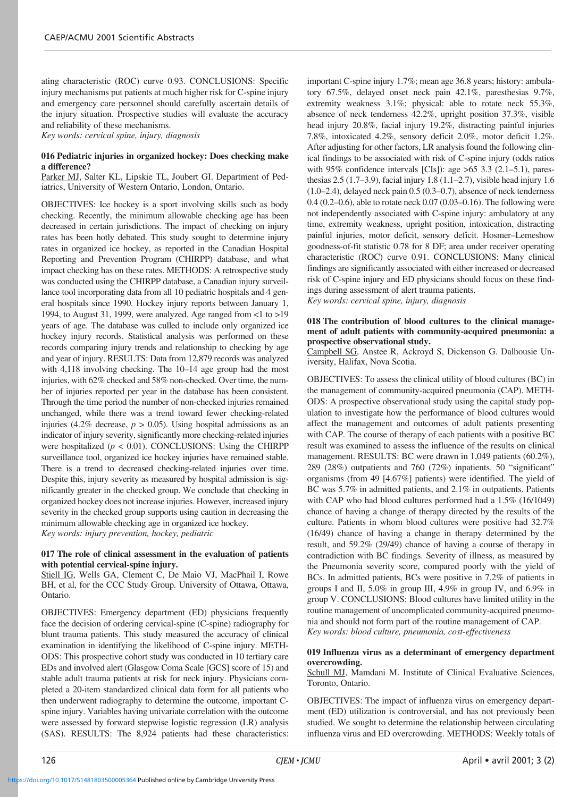ating characteristic (ROC) curve 0.93. CONCLUSIONS: Specific injury mechanisms put patients at much higher risk for C-spine injury and emergency care personnel should carefully ascertain details of the injury situation. Prospective studies will evaluate the accuracy and reliability of these mechanisms.

*Key words: cervical spine, injury, diagnosis*

# **016 Pediatric injuries in organized hockey: Does checking make a difference?**

Parker MJ, Salter KL, Lipskie TL, Joubert GI. Department of Pediatrics, University of Western Ontario, London, Ontario.

OBJECTIVES: Ice hockey is a sport involving skills such as body checking. Recently, the minimum allowable checking age has been decreased in certain jurisdictions. The impact of checking on injury rates has been hotly debated. This study sought to determine injury rates in organized ice hockey, as reported in the Canadian Hospital Reporting and Prevention Program (CHIRPP) database, and what impact checking has on these rates. METHODS: A retrospective study was conducted using the CHIRPP database, a Canadian injury surveillance tool incorporating data from all 10 pediatric hospitals and 4 general hospitals since 1990. Hockey injury reports between January 1, 1994, to August 31, 1999, were analyzed. Age ranged from <1 to >19 years of age. The database was culled to include only organized ice hockey injury records. Statistical analysis was performed on these records comparing injury trends and relationship to checking by age and year of injury. RESULTS: Data from 12,879 records was analyzed with 4,118 involving checking. The 10–14 age group had the most injuries, with 62% checked and 58% non-checked. Over time, the number of injuries reported per year in the database has been consistent. Through the time period the number of non-checked injuries remained unchanged, while there was a trend toward fewer checking-related injuries (4.2% decrease,  $p > 0.05$ ). Using hospital admissions as an indicator of injury severity, significantly more checking-related injuries were hospitalized  $(p < 0.01)$ . CONCLUSIONS: Using the CHIRPP surveillance tool, organized ice hockey injuries have remained stable. There is a trend to decreased checking-related injuries over time. Despite this, injury severity as measured by hospital admission is significantly greater in the checked group. We conclude that checking in organized hockey does not increase injuries. However, increased injury severity in the checked group supports using caution in decreasing the minimum allowable checking age in organized ice hockey.

*Key words: injury prevention, hockey, pediatric*

# **017 The role of clinical assessment in the evaluation of patients with potential cervical-spine injury.**

Stiell IG, Wells GA, Clement C, De Maio VJ, MacPhail I, Rowe BH, et al, for the CCC Study Group. University of Ottawa, Ottawa, Ontario.

OBJECTIVES: Emergency department (ED) physicians frequently face the decision of ordering cervical-spine (C-spine) radiography for blunt trauma patients. This study measured the accuracy of clinical examination in identifying the likelihood of C-spine injury. METH-ODS: This prospective cohort study was conducted in 10 tertiary care EDs and involved alert (Glasgow Coma Scale [GCS] score of 15) and stable adult trauma patients at risk for neck injury. Physicians completed a 20-item standardized clinical data form for all patients who then underwent radiography to determine the outcome, important Cspine injury. Variables having univariate correlation with the outcome were assessed by forward stepwise logistic regression (LR) analysis (SAS). RESULTS: The 8,924 patients had these characteristics:

important C-spine injury 1.7%; mean age 36.8 years; history: ambulatory 67.5%, delayed onset neck pain 42.1%, paresthesias 9.7%, extremity weakness 3.1%; physical: able to rotate neck 55.3%, absence of neck tenderness 42.2%, upright position 37.3%, visible head injury 20.8%, facial injury 19.2%, distracting painful injuries 7.8%, intoxicated 4.2%, sensory deficit 2.0%, motor deficit 1.2%. After adjusting for other factors, LR analysis found the following clinical findings to be associated with risk of C-spine injury (odds ratios with 95% confidence intervals [CIs]): age >65 3.3 (2.1–5.1), paresthesias 2.5 (1.7–3.9), facial injury 1.8 (1.1–2.7), visible head injury 1.6 (1.0–2.4), delayed neck pain 0.5 (0.3–0.7), absence of neck tenderness 0.4 (0.2–0.6), able to rotate neck 0.07 (0.03–0.16). The following were not independently associated with C-spine injury: ambulatory at any time, extremity weakness, upright position, intoxication, distracting painful injuries, motor deficit, sensory deficit. Hosmer–Lemeshow goodness-of-fit statistic 0.78 for 8 DF; area under receiver operating characteristic (ROC) curve 0.91. CONCLUSIONS: Many clinical findings are significantly associated with either increased or decreased risk of C-spine injury and ED physicians should focus on these findings during assessment of alert trauma patients. *Key words: cervical spine, injury, diagnosis*

**018 The contribution of blood cultures to the clinical management of adult patients with community-acquired pneumonia: a prospective observational study.**

Campbell SG, Anstee R, Ackroyd S, Dickenson G. Dalhousie University, Halifax, Nova Scotia.

OBJECTIVES: To assess the clinical utility of blood cultures (BC) in the management of community-acquired pneumonia (CAP). METH-ODS: A prospective observational study using the capital study population to investigate how the performance of blood cultures would affect the management and outcomes of adult patients presenting with CAP. The course of therapy of each patients with a positive BC result was examined to assess the influence of the results on clinical management. RESULTS: BC were drawn in 1,049 patients (60.2%), 289 (28%) outpatients and 760 (72%) inpatients. 50 "significant" organisms (from 49 [4.67%] patients) were identified. The yield of BC was 5.7% in admitted patients, and 2.1% in outpatients. Patients with CAP who had blood cultures performed had a 1.5% (16/1049) chance of having a change of therapy directed by the results of the culture. Patients in whom blood cultures were positive had 32.7% (16/49) chance of having a change in therapy determined by the result, and 59.2% (29/49) chance of having a course of therapy in contradiction with BC findings. Severity of illness, as measured by the Pneumonia severity score, compared poorly with the yield of BCs. In admitted patients, BCs were positive in 7.2% of patients in groups I and II, 5.0% in group III, 4.9% in group IV, and 6.9% in group V. CONCLUSIONS: Blood cultures have limited utility in the routine management of uncomplicated community-acquired pneumonia and should not form part of the routine management of CAP. *Key words: blood culture, pneumonia, cost-effectiveness*

# **019 Influenza virus as a determinant of emergency department overcrowding.**

Schull MJ, Mamdani M. Institute of Clinical Evaluative Sciences, Toronto, Ontario.

OBJECTIVES: The impact of influenza virus on emergency department (ED) utilization is controversial, and has not previously been studied. We sought to determine the relationship between circulating influenza virus and ED overcrowding. METHODS: Weekly totals of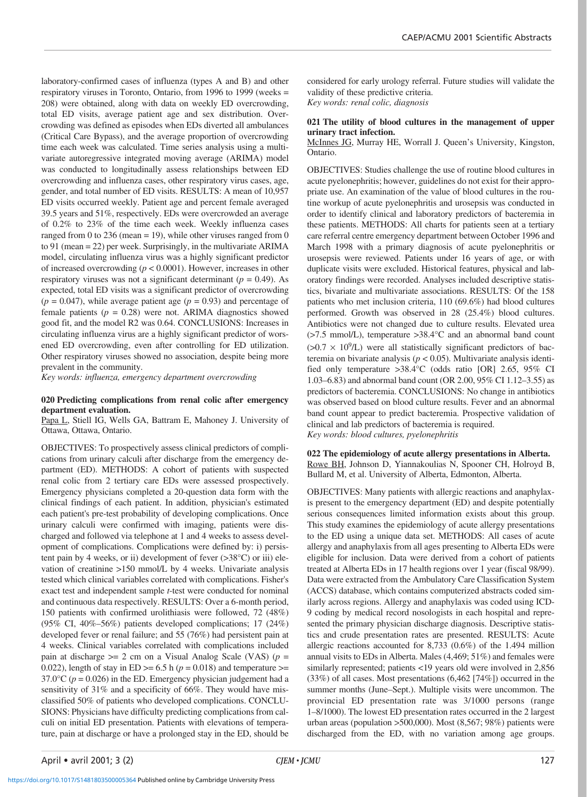laboratory-confirmed cases of influenza (types A and B) and other respiratory viruses in Toronto, Ontario, from 1996 to 1999 (weeks = 208) were obtained, along with data on weekly ED overcrowding, total ED visits, average patient age and sex distribution. Overcrowding was defined as episodes when EDs diverted all ambulances (Critical Care Bypass), and the average proportion of overcrowding time each week was calculated. Time series analysis using a multivariate autoregressive integrated moving average (ARIMA) model was conducted to longitudinally assess relationships between ED overcrowding and influenza cases, other respiratory virus cases, age, gender, and total number of ED visits. RESULTS: A mean of 10,957 ED visits occurred weekly. Patient age and percent female averaged 39.5 years and 51%, respectively. EDs were overcrowded an average of 0.2% to 23% of the time each week. Weekly influenza cases ranged from 0 to 236 (mean = 19), while other viruses ranged from 0 to 91 (mean = 22) per week. Surprisingly, in the multivariate ARIMA model, circulating influenza virus was a highly significant predictor of increased overcrowding (*p* < 0.0001). However, increases in other respiratory viruses was not a significant determinant  $(p = 0.49)$ . As expected, total ED visits was a significant predictor of overcrowding  $(p = 0.047)$ , while average patient age  $(p = 0.93)$  and percentage of female patients  $(p = 0.28)$  were not. ARIMA diagnostics showed good fit, and the model R2 was 0.64. CONCLUSIONS: Increases in

circulating influenza virus are a highly significant predictor of worsened ED overcrowding, even after controlling for ED utilization. Other respiratory viruses showed no association, despite being more prevalent in the community.

*Key words: influenza, emergency department overcrowding*

#### **020 Predicting complications from renal colic after emergency department evaluation.**

Papa L, Stiell IG, Wells GA, Battram E, Mahoney J. University of Ottawa, Ottawa, Ontario.

OBJECTIVES: To prospectively assess clinical predictors of complications from urinary calculi after discharge from the emergency department (ED). METHODS: A cohort of patients with suspected renal colic from 2 tertiary care EDs were assessed prospectively. Emergency physicians completed a 20-question data form with the clinical findings of each patient. In addition, physician's estimated each patient's pre-test probability of developing complications. Once urinary calculi were confirmed with imaging, patients were discharged and followed via telephone at 1 and 4 weeks to assess development of complications. Complications were defined by: i) persistent pain by 4 weeks, or ii) development of fever  $(>38^{\circ}C)$  or iii) elevation of creatinine >150 mmol/L by 4 weeks. Univariate analysis tested which clinical variables correlated with complications. Fisher's exact test and independent sample *t*-test were conducted for nominal and continuous data respectively. RESULTS: Over a 6-month period, 150 patients with confirmed urolithiasis were followed, 72 (48%) (95% CI, 40%–56%) patients developed complications; 17 (24%) developed fever or renal failure; and 55 (76%) had persistent pain at 4 weeks. Clinical variables correlated with complications included pain at discharge  $\geq$  2 cm on a Visual Analog Scale (VAS) ( $p =$ 0.022), length of stay in ED  $>= 6.5$  h ( $p = 0.018$ ) and temperature  $>=$ 37.0 $\degree$ C ( $p = 0.026$ ) in the ED. Emergency physician judgement had a sensitivity of 31% and a specificity of 66%. They would have misclassified 50% of patients who developed complications. CONCLU-SIONS: Physicians have difficulty predicting complications from calculi on initial ED presentation. Patients with elevations of temperature, pain at discharge or have a prolonged stay in the ED, should be considered for early urology referral. Future studies will validate the validity of these predictive criteria.

*Key words: renal colic, diagnosis*

# **021 The utility of blood cultures in the management of upper urinary tract infection.**

McInnes JG, Murray HE, Worrall J. Queen's University, Kingston, Ontario.

OBJECTIVES: Studies challenge the use of routine blood cultures in acute pyelonephritis; however, guidelines do not exist for their appropriate use. An examination of the value of blood cultures in the routine workup of acute pyelonephritis and urosepsis was conducted in order to identify clinical and laboratory predictors of bacteremia in these patients. METHODS: All charts for patients seen at a tertiary care referral centre emergency department between October 1996 and March 1998 with a primary diagnosis of acute pyelonephritis or urosepsis were reviewed. Patients under 16 years of age, or with duplicate visits were excluded. Historical features, physical and laboratory findings were recorded. Analyses included descriptive statistics, bivariate and multivariate associations. RESULTS: Of the 158 patients who met inclusion criteria, 110 (69.6%) had blood cultures performed. Growth was observed in 28 (25.4%) blood cultures. Antibiotics were not changed due to culture results. Elevated urea (>7.5 mmol/L), temperature >38.4°C and an abnormal band count  $(>0.7 \times 10^{9}$ /L) were all statistically significant predictors of bacteremia on bivariate analysis ( $p < 0.05$ ). Multivariate analysis identified only temperature >38.4°C (odds ratio [OR] 2.65, 95% CI 1.03–6.83) and abnormal band count (OR 2.00, 95% CI 1.12–3.55) as predictors of bacteremia. CONCLUSIONS: No change in antibiotics was observed based on blood culture results. Fever and an abnormal band count appear to predict bacteremia. Prospective validation of clinical and lab predictors of bacteremia is required. *Key words: blood cultures, pyelonephritis*

# **022 The epidemiology of acute allergy presentations in Alberta.** Rowe BH, Johnson D, Yiannakoulias N, Spooner CH, Holroyd B, Bullard M, et al. University of Alberta, Edmonton, Alberta.

OBJECTIVES: Many patients with allergic reactions and anaphylaxis present to the emergency department (ED) and despite potentially serious consequences limited information exists about this group. This study examines the epidemiology of acute allergy presentations to the ED using a unique data set. METHODS: All cases of acute allergy and anaphylaxis from all ages presenting to Alberta EDs were eligible for inclusion. Data were derived from a cohort of patients treated at Alberta EDs in 17 health regions over 1 year (fiscal 98/99). Data were extracted from the Ambulatory Care Classification System (ACCS) database, which contains computerized abstracts coded similarly across regions. Allergy and anaphylaxis was coded using ICD-9 coding by medical record nosologists in each hospital and represented the primary physician discharge diagnosis. Descriptive statistics and crude presentation rates are presented. RESULTS: Acute allergic reactions accounted for 8,733 (0.6%) of the 1.494 million annual visits to EDs in Alberta. Males (4,469; 51%) and females were similarly represented; patients <19 years old were involved in 2,856 (33%) of all cases. Most presentations (6,462 [74%]) occurred in the summer months (June–Sept.). Multiple visits were uncommon. The provincial ED presentation rate was 3/1000 persons (range 1–8/1000). The lowest ED presentation rates occurred in the 2 largest urban areas (population >500,000). Most (8,567; 98%) patients were discharged from the ED, with no variation among age groups.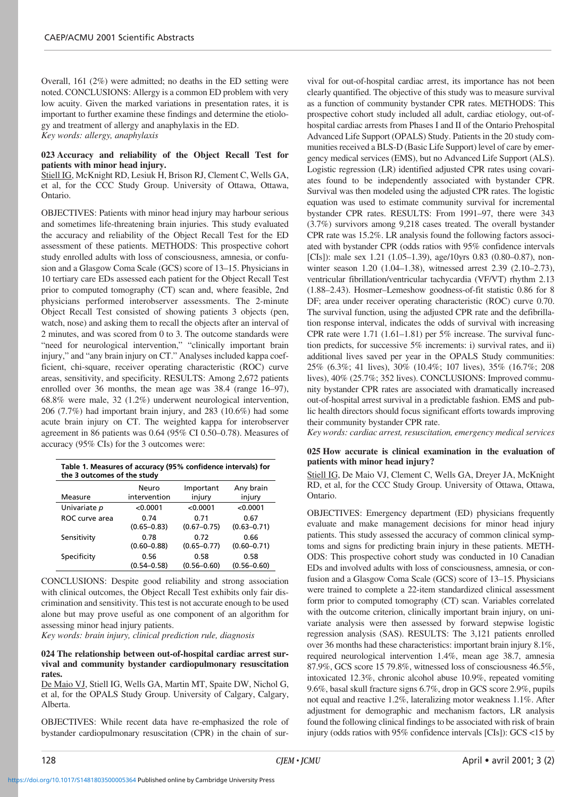Overall, 161 (2%) were admitted; no deaths in the ED setting were noted. CONCLUSIONS: Allergy is a common ED problem with very low acuity. Given the marked variations in presentation rates, it is important to further examine these findings and determine the etiology and treatment of allergy and anaphylaxis in the ED. *Key words: allergy, anaphylaxis*

**023 Accuracy and reliability of the Object Recall Test for patients with minor head injury.**

Stiell IG, McKnight RD, Lesiuk H, Brison RJ, Clement C, Wells GA, et al, for the CCC Study Group. University of Ottawa, Ottawa, Ontario.

OBJECTIVES: Patients with minor head injury may harbour serious and sometimes life-threatening brain injuries. This study evaluated the accuracy and reliability of the Object Recall Test for the ED assessment of these patients. METHODS: This prospective cohort study enrolled adults with loss of consciousness, amnesia, or confusion and a Glasgow Coma Scale (GCS) score of 13–15. Physicians in 10 tertiary care EDs assessed each patient for the Object Recall Test prior to computed tomography (CT) scan and, where feasible, 2nd physicians performed interobserver assessments. The 2-minute Object Recall Test consisted of showing patients 3 objects (pen, watch, nose) and asking them to recall the objects after an interval of 2 minutes, and was scored from 0 to 3. The outcome standards were "need for neurological intervention," "clinically important brain injury," and "any brain injury on CT." Analyses included kappa coefficient, chi-square, receiver operating characteristic (ROC) curve areas, sensitivity, and specificity. RESULTS: Among 2,672 patients enrolled over 36 months, the mean age was 38.4 (range 16–97), 68.8% were male, 32 (1.2%) underwent neurological intervention, 206 (7.7%) had important brain injury, and 283 (10.6%) had some acute brain injury on CT. The weighted kappa for interobserver agreement in 86 patients was 0.64 (95% CI 0.50–0.78). Measures of accuracy (95% CIs) for the 3 outcomes were:

| Table 1. Measures of accuracy (95% confidence intervals) for<br>the 3 outcomes of the study |                         |                         |                         |  |  |
|---------------------------------------------------------------------------------------------|-------------------------|-------------------------|-------------------------|--|--|
|                                                                                             | Neuro                   | Important               | Any brain               |  |  |
| Measure                                                                                     | intervention            | injury                  | injury                  |  |  |
| Univariate p                                                                                | < 0.0001                | < 0.0001                | < 0.0001                |  |  |
| ROC curve area                                                                              | 0.74<br>$(0.65 - 0.83)$ | 0.71<br>$(0.67 - 0.75)$ | 0.67<br>$(0.63 - 0.71)$ |  |  |
| Sensitivity                                                                                 | 0.78<br>$(0.60 - 0.88)$ | 0.72<br>$(0.65 - 0.77)$ | 0.66<br>$(0.60 - 0.71)$ |  |  |
| Specificity                                                                                 | 0.56<br>$(0.54 - 0.58)$ | 0.58<br>$(0.56 - 0.60)$ | 0.58<br>$(0.56 - 0.60)$ |  |  |

CONCLUSIONS: Despite good reliability and strong association with clinical outcomes, the Object Recall Test exhibits only fair discrimination and sensitivity. This test is not accurate enough to be used alone but may prove useful as one component of an algorithm for assessing minor head injury patients.

*Key words: brain injury, clinical prediction rule, diagnosis*

# **024 The relationship between out-of-hospital cardiac arrest survival and community bystander cardiopulmonary resuscitation rates.**

De Maio VJ, Stiell IG, Wells GA, Martin MT, Spaite DW, Nichol G, et al, for the OPALS Study Group. University of Calgary, Calgary, Alberta.

OBJECTIVES: While recent data have re-emphasized the role of bystander cardiopulmonary resuscitation (CPR) in the chain of sur-

vival for out-of-hospital cardiac arrest, its importance has not been clearly quantified. The objective of this study was to measure survival as a function of community bystander CPR rates. METHODS: This prospective cohort study included all adult, cardiac etiology, out-ofhospital cardiac arrests from Phases I and II of the Ontario Prehospital Advanced Life Support (OPALS) Study. Patients in the 20 study communities received a BLS-D (Basic Life Support) level of care by emergency medical services (EMS), but no Advanced Life Support (ALS). Logistic regression (LR) identified adjusted CPR rates using covariates found to be independently associated with bystander CPR. Survival was then modeled using the adjusted CPR rates. The logistic equation was used to estimate community survival for incremental bystander CPR rates. RESULTS: From 1991–97, there were 343 (3.7%) survivors among 9,218 cases treated. The overall bystander CPR rate was 15.2%. LR analysis found the following factors associated with bystander CPR (odds ratios with 95% confidence intervals [CIs]): male sex 1.21 (1.05–1.39), age/10yrs 0.83 (0.80–0.87), nonwinter season 1.20 (1.04–1.38), witnessed arrest 2.39 (2.10–2.73), ventricular fibrillation/ventricular tachycardia (VF/VT) rhythm 2.13 (1.88–2.43). Hosmer–Lemeshow goodness-of-fit statistic 0.86 for 8 DF; area under receiver operating characteristic (ROC) curve 0.70. The survival function, using the adjusted CPR rate and the defibrillation response interval, indicates the odds of survival with increasing CPR rate were  $1.71$   $(1.61-1.81)$  per 5% increase. The survival function predicts, for successive 5% increments: i) survival rates, and ii) additional lives saved per year in the OPALS Study communities: 25% (6.3%; 41 lives), 30% (10.4%; 107 lives), 35% (16.7%; 208 lives), 40% (25.7%; 352 lives). CONCLUSIONS: Improved community bystander CPR rates are associated with dramatically increased out-of-hospital arrest survival in a predictable fashion. EMS and public health directors should focus significant efforts towards improving their community bystander CPR rate.

*Key words: cardiac arrest, resuscitation, emergency medical services*

# **025 How accurate is clinical examination in the evaluation of patients with minor head injury?**

Stiell IG, De Maio VJ, Clement C, Wells GA, Dreyer JA, McKnight RD, et al, for the CCC Study Group. University of Ottawa, Ottawa, Ontario.

OBJECTIVES: Emergency department (ED) physicians frequently evaluate and make management decisions for minor head injury patients. This study assessed the accuracy of common clinical symptoms and signs for predicting brain injury in these patients. METH-ODS: This prospective cohort study was conducted in 10 Canadian EDs and involved adults with loss of consciousness, amnesia, or confusion and a Glasgow Coma Scale (GCS) score of 13–15. Physicians were trained to complete a 22-item standardized clinical assessment form prior to computed tomography (CT) scan. Variables correlated with the outcome criterion, clinically important brain injury, on univariate analysis were then assessed by forward stepwise logistic regression analysis (SAS). RESULTS: The 3,121 patients enrolled over 36 months had these characteristics: important brain injury 8.1%, required neurological intervention 1.4%, mean age 38.7, amnesia 87.9%, GCS score 15 79.8%, witnessed loss of consciousness 46.5%, intoxicated 12.3%, chronic alcohol abuse 10.9%, repeated vomiting 9.6%, basal skull fracture signs 6.7%, drop in GCS score 2.9%, pupils not equal and reactive 1.2%, lateralizing motor weakness 1.1%. After adjustment for demographic and mechanism factors, LR analysis found the following clinical findings to be associated with risk of brain injury (odds ratios with 95% confidence intervals [CIs]): GCS <15 by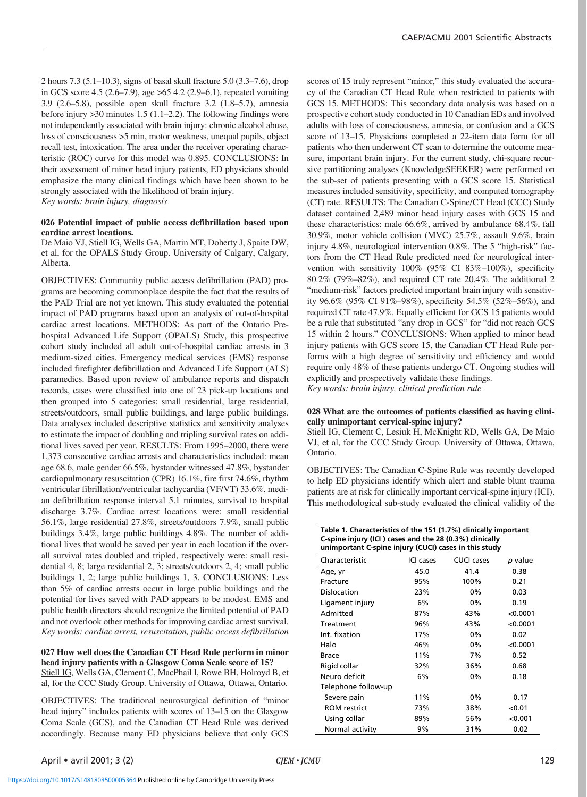2 hours 7.3 (5.1–10.3), signs of basal skull fracture 5.0 (3.3–7.6), drop in GCS score 4.5 (2.6–7.9), age >65 4.2 (2.9–6.1), repeated vomiting 3.9 (2.6–5.8), possible open skull fracture 3.2 (1.8–5.7), amnesia before injury >30 minutes 1.5 (1.1–2.2). The following findings were not independently associated with brain injury: chronic alcohol abuse, loss of consciousness >5 min, motor weakness, unequal pupils, object recall test, intoxication. The area under the receiver operating characteristic (ROC) curve for this model was 0.895. CONCLUSIONS: In their assessment of minor head injury patients, ED physicians should emphasize the many clinical findings which have been shown to be strongly associated with the likelihood of brain injury. *Key words: brain injury, diagnosis*

# **026 Potential impact of public access defibrillation based upon cardiac arrest locations.**

De Maio VJ, Stiell IG, Wells GA, Martin MT, Doherty J, Spaite DW, et al, for the OPALS Study Group. University of Calgary, Calgary, Alberta.

OBJECTIVES: Community public access defibrillation (PAD) programs are becoming commonplace despite the fact that the results of the PAD Trial are not yet known. This study evaluated the potential impact of PAD programs based upon an analysis of out-of-hospital cardiac arrest locations. METHODS: As part of the Ontario Prehospital Advanced Life Support (OPALS) Study, this prospective cohort study included all adult out-of-hospital cardiac arrests in 3 medium-sized cities. Emergency medical services (EMS) response included firefighter defibrillation and Advanced Life Support (ALS) paramedics. Based upon review of ambulance reports and dispatch records, cases were classified into one of 23 pick-up locations and then grouped into 5 categories: small residential, large residential, streets/outdoors, small public buildings, and large public buildings. Data analyses included descriptive statistics and sensitivity analyses to estimate the impact of doubling and tripling survival rates on additional lives saved per year. RESULTS: From 1995–2000, there were 1,373 consecutive cardiac arrests and characteristics included: mean age 68.6, male gender 66.5%, bystander witnessed 47.8%, bystander cardiopulmonary resuscitation (CPR) 16.1%, fire first 74.6%, rhythm ventricular fibrillation/ventricular tachycardia (VF/VT) 33.6%, median defibrillation response interval 5.1 minutes, survival to hospital discharge 3.7%. Cardiac arrest locations were: small residential 56.1%, large residential 27.8%, streets/outdoors 7.9%, small public buildings 3.4%, large public buildings 4.8%. The number of additional lives that would be saved per year in each location if the overall survival rates doubled and tripled, respectively were: small residential 4, 8; large residential 2, 3; streets/outdoors 2, 4; small public buildings 1, 2; large public buildings 1, 3. CONCLUSIONS: Less than 5% of cardiac arrests occur in large public buildings and the potential for lives saved with PAD appears to be modest. EMS and public health directors should recognize the limited potential of PAD and not overlook other methods for improving cardiac arrest survival. *Key words: cardiac arrest, resuscitation, public access defibrillation*

# **027 How well does the Canadian CT Head Rule perform in minor head injury patients with a Glasgow Coma Scale score of 15?** Stiell IG, Wells GA, Clement C, MacPhail I, Rowe BH, Holroyd B, et al, for the CCC Study Group. University of Ottawa, Ottawa, Ontario.

OBJECTIVES: The traditional neurosurgical definition of "minor head injury" includes patients with scores of 13–15 on the Glasgow Coma Scale (GCS), and the Canadian CT Head Rule was derived accordingly. Because many ED physicians believe that only GCS

scores of 15 truly represent "minor," this study evaluated the accuracy of the Canadian CT Head Rule when restricted to patients with GCS 15. METHODS: This secondary data analysis was based on a prospective cohort study conducted in 10 Canadian EDs and involved adults with loss of consciousness, amnesia, or confusion and a GCS score of 13–15. Physicians completed a 22-item data form for all patients who then underwent CT scan to determine the outcome measure, important brain injury. For the current study, chi-square recursive partitioning analyses (KnowledgeSEEKER) were performed on the sub-set of patients presenting with a GCS score 15. Statistical measures included sensitivity, specificity, and computed tomography (CT) rate. RESULTS: The Canadian C-Spine/CT Head (CCC) Study dataset contained 2,489 minor head injury cases with GCS 15 and these characteristics: male 66.6%, arrived by ambulance 68.4%, fall 30.9%, motor vehicle collision (MVC) 25.7%, assault 9.6%, brain injury 4.8%, neurological intervention 0.8%. The 5 "high-risk" factors from the CT Head Rule predicted need for neurological intervention with sensitivity 100% (95% CI 83%–100%), specificity 80.2% (79%–82%), and required CT rate 20.4%. The additional 2 "medium-risk" factors predicted important brain injury with sensitivity 96.6% (95% CI 91%–98%), specificity 54.5% (52%–56%), and required CT rate 47.9%. Equally efficient for GCS 15 patients would be a rule that substituted "any drop in GCS" for "did not reach GCS 15 within 2 hours." CONCLUSIONS: When applied to minor head injury patients with GCS score 15, the Canadian CT Head Rule performs with a high degree of sensitivity and efficiency and would require only 48% of these patients undergo CT. Ongoing studies will explicitly and prospectively validate these findings.

*Key words: brain injury, clinical prediction rule*

# **028 What are the outcomes of patients classified as having clinically unimportant cervical-spine injury?**

Stiell IG, Clement C, Lesiuk H, McKnight RD, Wells GA, De Maio VJ, et al, for the CCC Study Group. University of Ottawa, Ottawa, Ontario.

OBJECTIVES: The Canadian C-Spine Rule was recently developed to help ED physicians identify which alert and stable blunt trauma patients are at risk for clinically important cervical-spine injury (ICI). This methodological sub-study evaluated the clinical validity of the

| Table 1. Characteristics of the 151 (1.7%) clinically important<br>C-spine injury (ICI) cases and the 28 (0.3%) clinically<br>unimportant C-spine injury (CUCI) cases in this study |           |                   |         |  |  |
|-------------------------------------------------------------------------------------------------------------------------------------------------------------------------------------|-----------|-------------------|---------|--|--|
| Characteristic                                                                                                                                                                      | ICI cases | <b>CUCI cases</b> | p value |  |  |
| Age, yr                                                                                                                                                                             | 45.0      | 41.4              | 0.38    |  |  |
| Fracture                                                                                                                                                                            | 95%       | 100%              | 0.21    |  |  |
| Dislocation                                                                                                                                                                         | 23%       | 0%                | 0.03    |  |  |
| Ligament injury                                                                                                                                                                     | 6%        | 0%                | 0.19    |  |  |

| Ligament injury     | <b>b%</b> | U%    | U. 19    |
|---------------------|-----------|-------|----------|
| Admitted            | 87%       | 43%   | < 0.0001 |
| Treatment           | 96%       | 43%   | < 0.0001 |
| Int. fixation       | 17%       | 0%    | 0.02     |
| Halo                | 46%       | 0%    | < 0.0001 |
| Brace               | 11%       | 7%    | 0.52     |
| Rigid collar        | 32%       | 36%   | 0.68     |
| Neuro deficit       | 6%        | $0\%$ | 0.18     |
| Telephone follow-up |           |       |          |
| Severe pain         | 11%       | 0%    | 0.17     |
| <b>ROM</b> restrict | 73%       | 38%   | < 0.01   |
| Using collar        | 89%       | 56%   | < 0.001  |
| Normal activity     | 9%        | 31%   | 0.02     |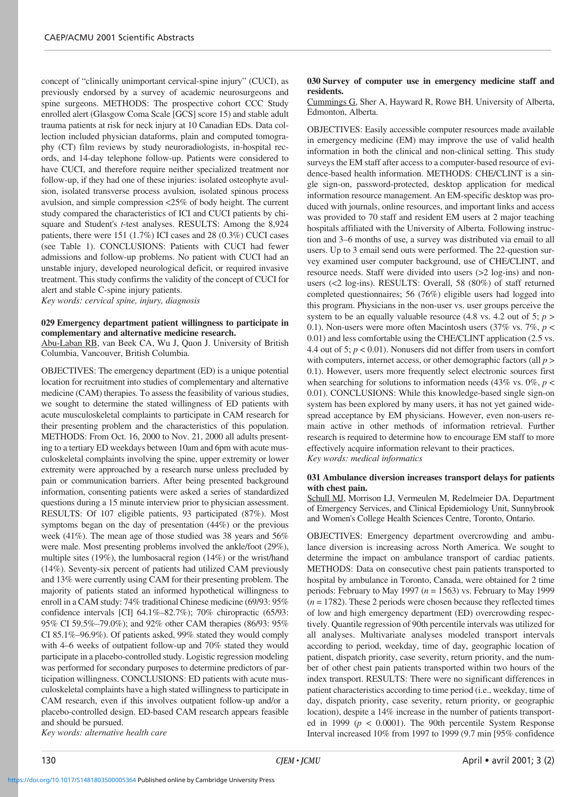concept of "clinically unimportant cervical-spine injury" (CUCI), as previously endorsed by a survey of academic neurosurgeons and spine surgeons. METHODS: The prospective cohort CCC Study enrolled alert (Glasgow Coma Scale [GCS] score 15) and stable adult trauma patients at risk for neck injury at 10 Canadian EDs. Data collection included physician dataforms, plain and computed tomography (CT) film reviews by study neuroradiologists, in-hospital records, and 14-day telephone follow-up. Patients were considered to have CUCI, and therefore require neither specialized treatment nor follow-up, if they had one of these injuries: isolated osteophyte avulsion, isolated transverse process avulsion, isolated spinous process avulsion, and simple compression <25% of body height. The current study compared the characteristics of ICI and CUCI patients by chisquare and Student's *t*-test analyses. RESULTS: Among the 8,924 patients, there were 151 (1.7%) ICI cases and 28 (0.3%) CUCI cases (see Table 1). CONCLUSIONS: Patients with CUCI had fewer admissions and follow-up problems. No patient with CUCI had an unstable injury, developed neurological deficit, or required invasive treatment. This study confirms the validity of the concept of CUCI for alert and stable C-spine injury patients.

*Key words: cervical spine, injury, diagnosis*

# **029 Emergency department patient willingness to participate in complementary and alternative medicine research.**

Abu-Laban RB, van Beek CA, Wu J, Quon J. University of British Columbia, Vancouver, British Columbia.

OBJECTIVES: The emergency department (ED) is a unique potential location for recruitment into studies of complementary and alternative medicine (CAM) therapies. To assess the feasibility of various studies, we sought to determine the stated willingness of ED patients with acute musculoskeletal complaints to participate in CAM research for their presenting problem and the characteristics of this population. METHODS: From Oct. 16, 2000 to Nov. 21, 2000 all adults presenting to a tertiary ED weekdays between 10am and 6pm with acute musculoskeletal complaints involving the spine, upper extremity or lower extremity were approached by a research nurse unless precluded by pain or communication barriers. After being presented background information, consenting patients were asked a series of standardized questions during a 15 minute interview prior to physician assessment. RESULTS: Of 107 eligible patients, 93 participated (87%). Most symptoms began on the day of presentation (44%) or the previous week (41%). The mean age of those studied was 38 years and 56% were male. Most presenting problems involved the ankle/foot (29%), multiple sites (19%), the lumbosacral region (14%) or the wrist/hand (14%). Seventy-six percent of patients had utilized CAM previously and 13% were currently using CAM for their presenting problem. The majority of patients stated an informed hypothetical willingness to enroll in a CAM study: 74% traditional Chinese medicine (69/93: 95% confidence intervals [CI] 64.1%–82.7%); 70% chiropractic (65/93: 95% CI 59.5%–79.0%); and 92% other CAM therapies (86/93: 95% CI 85.1%–96.9%). Of patients asked, 99% stated they would comply with 4–6 weeks of outpatient follow-up and 70% stated they would participate in a placebo-controlled study. Logistic regression modeling was performed for secondary purposes to determine predictors of participation willingness. CONCLUSIONS: ED patients with acute musculoskeletal complaints have a high stated willingness to participate in CAM research, even if this involves outpatient follow-up and/or a placebo-controlled design. ED-based CAM research appears feasible and should be pursued.

*Key words: alternative health care*

# **030 Survey of computer use in emergency medicine staff and residents.**

Cummings G, Sher A, Hayward R, Rowe BH. University of Alberta, Edmonton, Alberta.

OBJECTIVES: Easily accessible computer resources made available in emergency medicine (EM) may improve the use of valid health information in both the clinical and non-clinical setting. This study surveys the EM staff after access to a computer-based resource of evidence-based health information. METHODS: CHE/CLINT is a single sign-on, password-protected, desktop application for medical information resource management. An EM-specific desktop was produced with journals, online resources, and important links and access was provided to 70 staff and resident EM users at 2 major teaching hospitals affiliated with the University of Alberta. Following instruction and 3–6 months of use, a survey was distributed via email to all users. Up to 3 email send outs were performed. The 22-question survey examined user computer background, use of CHE/CLINT, and resource needs. Staff were divided into users (>2 log-ins) and nonusers (<2 log-ins). RESULTS: Overall, 58 (80%) of staff returned completed questionnaires; 56 (76%) eligible users had logged into this program. Physicians in the non-user vs. user groups perceive the system to be an equally valuable resource  $(4.8 \text{ vs. } 4.2 \text{ out of } 5; p >$ 0.1). Non-users were more often Macintosh users (37% vs. 7%, *p* < 0.01) and less comfortable using the CHE/CLINT application (2.5 vs. 4.4 out of 5;  $p < 0.01$ ). Nonusers did not differ from users in comfort with computers, internet access, or other demographic factors (all *p* > 0.1). However, users more frequently select electronic sources first when searching for solutions to information needs  $(43\% \text{ vs. } 0\%, p <$ 0.01). CONCLUSIONS: While this knowledge-based single sign-on system has been explored by many users, it has not yet gained widespread acceptance by EM physicians. However, even non-users remain active in other methods of information retrieval. Further research is required to determine how to encourage EM staff to more effectively acquire information relevant to their practices. *Key words: medical informatics*

# **031 Ambulance diversion increases transport delays for patients with chest pain.**

Schull MJ, Morrison LJ, Vermeulen M, Redelmeier DA. Department of Emergency Services, and Clinical Epidemiology Unit, Sunnybrook and Women's College Health Sciences Centre, Toronto, Ontario.

OBJECTIVES: Emergency department overcrowding and ambulance diversion is increasing across North America. We sought to determine the impact on ambulance transport of cardiac patients. METHODS: Data on consecutive chest pain patients transported to hospital by ambulance in Toronto, Canada, were obtained for 2 time periods: February to May 1997 (*n* = 1563) vs. February to May 1999  $(n = 1782)$ . These 2 periods were chosen because they reflected times of low and high emergency department (ED) overcrowding respectively. Quantile regression of 90th percentile intervals was utilized for all analyses. Multivariate analyses modeled transport intervals according to period, weekday, time of day, geographic location of patient, dispatch priority, case severity, return priority, and the number of other chest pain patients transported within two hours of the index transport. RESULTS: There were no significant differences in patient characteristics according to time period (i.e., weekday, time of day, dispatch priority, case severity, return priority, or geographic location), despite a 14% increase in the number of patients transported in 1999 ( $p < 0.0001$ ). The 90th percentile System Response Interval increased 10% from 1997 to 1999 (9.7 min [95% confidence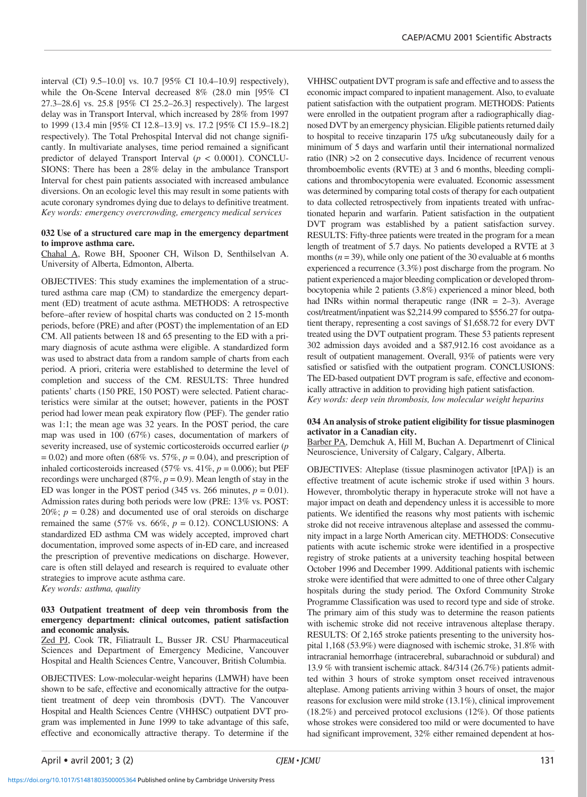interval (CI) 9.5–10.0] vs. 10.7 [95% CI 10.4–10.9] respectively), while the On-Scene Interval decreased 8% (28.0 min [95% CI 27.3–28.6] vs. 25.8 [95% CI 25.2–26.3] respectively). The largest delay was in Transport Interval, which increased by 28% from 1997 to 1999 (13.4 min [95% CI 12.8–13.9] vs. 17.2 [95% CI 15.9–18.2] respectively). The Total Prehospital Interval did not change significantly. In multivariate analyses, time period remained a significant predictor of delayed Transport Interval (*p* < 0.0001). CONCLU-SIONS: There has been a 28% delay in the ambulance Transport Interval for chest pain patients associated with increased ambulance diversions. On an ecologic level this may result in some patients with acute coronary syndromes dying due to delays to definitive treatment. *Key words: emergency overcrowding, emergency medical services*

# **032 Use of a structured care map in the emergency department to improve asthma care.**

Chahal A, Rowe BH, Spooner CH, Wilson D, Senthilselvan A. University of Alberta, Edmonton, Alberta.

OBJECTIVES: This study examines the implementation of a structured asthma care map (CM) to standardize the emergency department (ED) treatment of acute asthma. METHODS: A retrospective before–after review of hospital charts was conducted on 2 15-month periods, before (PRE) and after (POST) the implementation of an ED CM. All patients between 18 and 65 presenting to the ED with a primary diagnosis of acute asthma were eligible. A standardized form was used to abstract data from a random sample of charts from each period. A priori, criteria were established to determine the level of completion and success of the CM. RESULTS: Three hundred patients' charts (150 PRE, 150 POST) were selected. Patient characteristics were similar at the outset; however, patients in the POST period had lower mean peak expiratory flow (PEF). The gender ratio was 1:1; the mean age was 32 years. In the POST period, the care map was used in 100 (67%) cases, documentation of markers of severity increased, use of systemic corticosteroids occurred earlier (*p*  $= 0.02$ ) and more often (68% vs. 57%,  $p = 0.04$ ), and prescription of inhaled corticosteroids increased (57% vs.  $41\%$ ,  $p = 0.006$ ); but PEF recordings were uncharged ( $87\%$ ,  $p = 0.9$ ). Mean length of stay in the ED was longer in the POST period (345 vs. 266 minutes,  $p = 0.01$ ). Admission rates during both periods were low (PRE: 13% vs. POST:  $20\%$ ;  $p = 0.28$ ) and documented use of oral steroids on discharge remained the same  $(57\% \text{ vs. } 66\%, p = 0.12)$ . CONCLUSIONS: A standardized ED asthma CM was widely accepted, improved chart documentation, improved some aspects of in-ED care, and increased the prescription of preventive medications on discharge. However, care is often still delayed and research is required to evaluate other strategies to improve acute asthma care. *Key words: asthma, quality*

# **033 Outpatient treatment of deep vein thrombosis from the emergency department: clinical outcomes, patient satisfaction**

**and economic analysis.** Zed PJ, Cook TR, Filiatrault L, Busser JR. CSU Pharmaceutical Sciences and Department of Emergency Medicine, Vancouver Hospital and Health Sciences Centre, Vancouver, British Columbia.

OBJECTIVES: Low-molecular-weight heparins (LMWH) have been shown to be safe, effective and economically attractive for the outpatient treatment of deep vein thrombosis (DVT). The Vancouver Hospital and Health Sciences Centre (VHHSC) outpatient DVT program was implemented in June 1999 to take advantage of this safe, effective and economically attractive therapy. To determine if the

VHHSC outpatient DVT program is safe and effective and to assess the economic impact compared to inpatient management. Also, to evaluate patient satisfaction with the outpatient program. METHODS: Patients were enrolled in the outpatient program after a radiographically diagnosed DVT by an emergency physician. Eligible patients returned daily to hospital to receive tinzaparin 175 u/kg subcutaneously daily for a minimum of 5 days and warfarin until their international normalized ratio (INR) >2 on 2 consecutive days. Incidence of recurrent venous thromboembolic events (RVTE) at 3 and 6 months, bleeding complications and thrombocytopenia were evaluated. Economic assessment was determined by comparing total costs of therapy for each outpatient to data collected retrospectively from inpatients treated with unfractionated heparin and warfarin. Patient satisfaction in the outpatient DVT program was established by a patient satisfaction survey. RESULTS: Fifty-three patients were treated in the program for a mean length of treatment of 5.7 days. No patients developed a RVTE at 3 months  $(n = 39)$ , while only one patient of the 30 evaluable at 6 months experienced a recurrence (3.3%) post discharge from the program. No patient experienced a major bleeding complication or developed thrombocytopenia while 2 patients (3.8%) experienced a minor bleed, both had INRs within normal therapeutic range (INR  $= 2-3$ ). Average cost/treatment/inpatient was \$2,214.99 compared to \$556.27 for outpatient therapy, representing a cost savings of \$1,658.72 for every DVT treated using the DVT outpatient program. These 53 patients represent 302 admission days avoided and a \$87,912.16 cost avoidance as a result of outpatient management. Overall, 93% of patients were very satisfied or satisfied with the outpatient program. CONCLUSIONS: The ED-based outpatient DVT program is safe, effective and economically attractive in addition to providing high patient satisfaction. *Key words: deep vein thrombosis, low molecular weight heparins*

# **034 An analysis of stroke patient eligibility for tissue plasminogen activator in a Canadian city.**

Barber PA, Demchuk A, Hill M, Buchan A. Departmenrt of Clinical Neuroscience, University of Calgary, Calgary, Alberta.

OBJECTIVES: Alteplase (tissue plasminogen activator [tPA]) is an effective treatment of acute ischemic stroke if used within 3 hours. However, thrombolytic therapy in hyperacute stroke will not have a major impact on death and dependency unless it is accessible to more patients. We identified the reasons why most patients with ischemic stroke did not receive intravenous alteplase and assessed the community impact in a large North American city. METHODS: Consecutive patients with acute ischemic stroke were identified in a prospective registry of stroke patients at a university teaching hospital between October 1996 and December 1999. Additional patients with ischemic stroke were identified that were admitted to one of three other Calgary hospitals during the study period. The Oxford Community Stroke Programme Classification was used to record type and side of stroke. The primary aim of this study was to determine the reason patients with ischemic stroke did not receive intravenous alteplase therapy. RESULTS: Of 2,165 stroke patients presenting to the university hospital 1,168 (53.9%) were diagnosed with ischemic stroke, 31.8% with intracranial hemorrhage (intracerebral, subarachnoid or subdural) and 13.9 % with transient ischemic attack. 84/314 (26.7%) patients admitted within 3 hours of stroke symptom onset received intravenous alteplase. Among patients arriving within 3 hours of onset, the major reasons for exclusion were mild stroke (13.1%), clinical improvement (18.2%) and perceived protocol exclusions (12%). Of those patients whose strokes were considered too mild or were documented to have had significant improvement, 32% either remained dependent at hos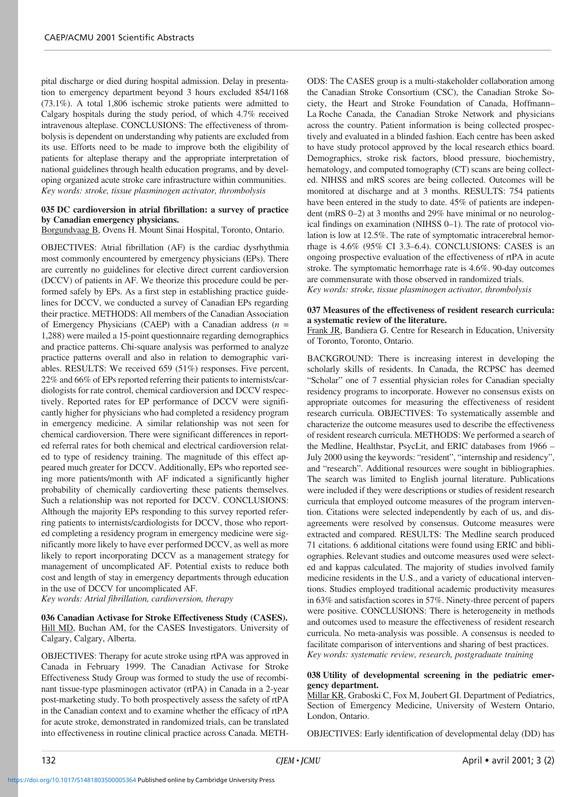pital discharge or died during hospital admission. Delay in presentation to emergency department beyond 3 hours excluded 854/1168 (73.1%). A total 1,806 ischemic stroke patients were admitted to Calgary hospitals during the study period, of which 4.7% received intravenous alteplase. CONCLUSIONS: The effectiveness of thrombolysis is dependent on understanding why patients are excluded from its use. Efforts need to be made to improve both the eligibility of patients for alteplase therapy and the appropriate interpretation of national guidelines through health education programs, and by developing organized acute stroke care infrastructure within communities. *Key words: stroke, tissue plasminogen activator, thrombolysis*

# **035 DC cardioversion in atrial fibrillation: a survey of practice by Canadian emergency physicians.**

Borgundvaag B, Ovens H. Mount Sinai Hospital, Toronto, Ontario.

OBJECTIVES: Atrial fibrillation (AF) is the cardiac dysrhythmia most commonly encountered by emergency physicians (EPs). There are currently no guidelines for elective direct current cardioversion (DCCV) of patients in AF. We theorize this procedure could be performed safely by EPs. As a first step in establishing practice guidelines for DCCV, we conducted a survey of Canadian EPs regarding their practice. METHODS: All members of the Canadian Association of Emergency Physicians (CAEP) with a Canadian address (*n* = 1,288) were mailed a 15-point questionnaire regarding demographics and practice patterns. Chi-square analysis was performed to analyze practice patterns overall and also in relation to demographic variables. RESULTS: We received 659 (51%) responses. Five percent, 22% and 66% of EPs reported referring their patients to internists/cardiologists for rate control, chemical cardioversion and DCCV respectively. Reported rates for EP performance of DCCV were significantly higher for physicians who had completed a residency program in emergency medicine. A similar relationship was not seen for chemical cardioversion. There were significant differences in reported referral rates for both chemical and electrical cardioversion related to type of residency training. The magnitude of this effect appeared much greater for DCCV. Additionally, EPs who reported seeing more patients/month with AF indicated a significantly higher probability of chemically cardioverting these patients themselves. Such a relationship was not reported for DCCV. CONCLUSIONS: Although the majority EPs responding to this survey reported referring patients to internists/cardiologists for DCCV, those who reported completing a residency program in emergency medicine were significantly more likely to have ever performed DCCV, as well as more likely to report incorporating DCCV as a management strategy for management of uncomplicated AF. Potential exists to reduce both cost and length of stay in emergency departments through education in the use of DCCV for uncomplicated AF.

*Key words: Atrial fibrillation, cardioversion, therapy*

<https://doi.org/10.1017/S1481803500005364>Published online by Cambridge University Press

# **036 Canadian Activase for Stroke Effectiveness Study (CASES).** Hill MD, Buchan AM, for the CASES Investigators. University of Calgary, Calgary, Alberta.

OBJECTIVES: Therapy for acute stroke using rtPA was approved in Canada in February 1999. The Canadian Activase for Stroke Effectiveness Study Group was formed to study the use of recombinant tissue-type plasminogen activator (rtPA) in Canada in a 2-year post-marketing study. To both prospectively assess the safety of rtPA in the Canadian context and to examine whether the efficacy of rtPA for acute stroke, demonstrated in randomized trials, can be translated into effectiveness in routine clinical practice across Canada. METH-

ODS: The CASES group is a multi-stakeholder collaboration among the Canadian Stroke Consortium (CSC), the Canadian Stroke Society, the Heart and Stroke Foundation of Canada, Hoffmann– La Roche Canada, the Canadian Stroke Network and physicians across the country. Patient information is being collected prospectively and evaluated in a blinded fashion. Each centre has been asked to have study protocol approved by the local research ethics board. Demographics, stroke risk factors, blood pressure, biochemistry, hematology, and computed tomography (CT) scans are being collected. NIHSS and mRS scores are being collected. Outcomes will be monitored at discharge and at 3 months. RESULTS: 754 patients have been entered in the study to date. 45% of patients are independent (mRS 0–2) at 3 months and 29% have minimal or no neurological findings on examination (NIHSS 0–1). The rate of protocol violation is low at 12.5%. The rate of symptomatic intracerebral hemorrhage is 4.6% (95% CI 3.3–6.4). CONCLUSIONS: CASES is an ongoing prospective evaluation of the effectiveness of rtPA in acute stroke. The symptomatic hemorrhage rate is 4.6%. 90-day outcomes are commensurate with those observed in randomized trials. *Key words: stroke, tissue plasminogen activator, thrombolysis*

# **037 Measures of the effectiveness of resident research curricula: a systematic review of the literature.**

Frank JR, Bandiera G. Centre for Research in Education, University of Toronto, Toronto, Ontario.

BACKGROUND: There is increasing interest in developing the scholarly skills of residents. In Canada, the RCPSC has deemed "Scholar" one of 7 essential physician roles for Canadian specialty residency programs to incorporate. However no consensus exists on appropriate outcomes for measuring the effectiveness of resident research curricula. OBJECTIVES: To systematically assemble and characterize the outcome measures used to describe the effectiveness of resident research curricula. METHODS: We performed a search of the Medline, Healthstar, PsycLit, and ERIC databases from 1966 – July 2000 using the keywords: "resident", "internship and residency", and "research". Additional resources were sought in bibliographies. The search was limited to English journal literature. Publications were included if they were descriptions or studies of resident research curricula that employed outcome measures of the program intervention. Citations were selected independently by each of us, and disagreements were resolved by consensus. Outcome measures were extracted and compared. RESULTS: The Medline search produced 71 citations. 6 additional citations were found using ERIC and bibliographies. Relevant studies and outcome measures used were selected and kappas calculated. The majority of studies involved family medicine residents in the U.S., and a variety of educational interventions. Studies employed traditional academic productivity measures in 63% and satisfaction scores in 57%. Ninety-three percent of papers were positive. CONCLUSIONS: There is heterogeneity in methods and outcomes used to measure the effectiveness of resident research curricula. No meta-analysis was possible. A consensus is needed to facilitate comparison of interventions and sharing of best practices. *Key words: systematic review, research, postgraduate training*

# **038 Utility of developmental screening in the pediatric emergency department.**

Millar KR, Graboski C, Fox M, Joubert GI. Department of Pediatrics, Section of Emergency Medicine, University of Western Ontario, London, Ontario.

OBJECTIVES: Early identification of developmental delay (DD) has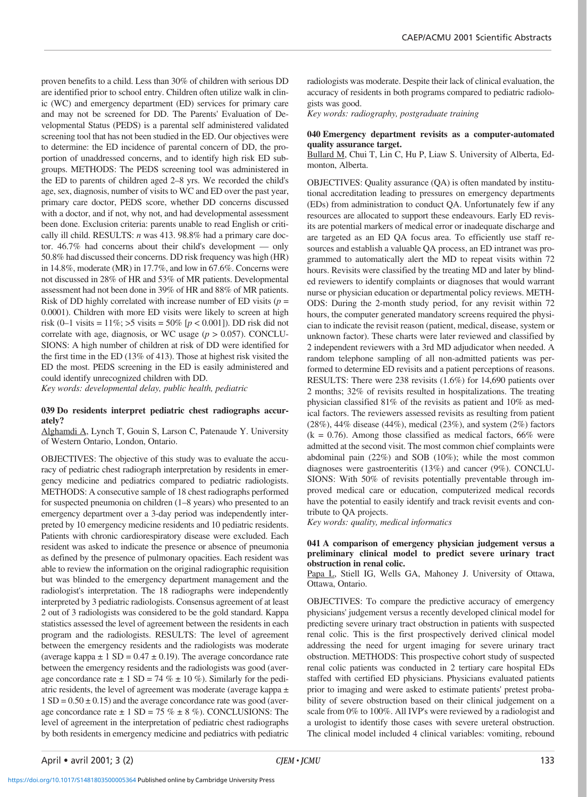proven benefits to a child. Less than 30% of children with serious DD are identified prior to school entry. Children often utilize walk in clinic (WC) and emergency department (ED) services for primary care and may not be screened for DD. The Parents' Evaluation of Developmental Status (PEDS) is a parental self administered validated screening tool that has not been studied in the ED. Our objectives were to determine: the ED incidence of parental concern of DD, the proportion of unaddressed concerns, and to identify high risk ED subgroups. METHODS: The PEDS screening tool was administered in the ED to parents of children aged 2–8 yrs. We recorded the child's age, sex, diagnosis, number of visits to WC and ED over the past year, primary care doctor, PEDS score, whether DD concerns discussed with a doctor, and if not, why not, and had developmental assessment been done. Exclusion criteria: parents unable to read English or critically ill child. RESULTS: *n* was 413. 98.8% had a primary care doctor. 46.7% had concerns about their child's development — only 50.8% had discussed their concerns. DD risk frequency was high (HR) in 14.8%, moderate (MR) in 17.7%, and low in 67.6%. Concerns were not discussed in 28% of HR and 53% of MR patients. Developmental assessment had not been done in 39% of HR and 88% of MR patients. Risk of DD highly correlated with increase number of ED visits  $(p =$ 0.0001). Children with more ED visits were likely to screen at high risk (0–1 visits = 11%; >5 visits = 50% [*p* < 0.001]). DD risk did not correlate with age, diagnosis, or WC usage (*p* > 0.057). CONCLU-SIONS: A high number of children at risk of DD were identified for the first time in the ED (13% of 413). Those at highest risk visited the ED the most. PEDS screening in the ED is easily administered and could identify unrecognized children with DD.

*Key words: developmental delay, public health, pediatric*

#### **039 Do residents interpret pediatric chest radiographs accurately?**

Alghamdi A, Lynch T, Gouin S, Larson C, Patenaude Y. University of Western Ontario, London, Ontario.

OBJECTIVES: The objective of this study was to evaluate the accuracy of pediatric chest radiograph interpretation by residents in emergency medicine and pediatrics compared to pediatric radiologists. METHODS: A consecutive sample of 18 chest radiographs performed for suspected pneumonia on children (1–8 years) who presented to an emergency department over a 3-day period was independently interpreted by 10 emergency medicine residents and 10 pediatric residents. Patients with chronic cardiorespiratory disease were excluded. Each resident was asked to indicate the presence or absence of pneumonia as defined by the presence of pulmonary opacities. Each resident was able to review the information on the original radiographic requisition but was blinded to the emergency department management and the radiologist's interpretation. The 18 radiographs were independently interpreted by 3 pediatric radiologists. Consensus agreement of at least 2 out of 3 radiologists was considered to be the gold standard. Kappa statistics assessed the level of agreement between the residents in each program and the radiologists. RESULTS: The level of agreement between the emergency residents and the radiologists was moderate (average kappa  $\pm 1$  SD = 0.47  $\pm$  0.19). The average concordance rate between the emergency residents and the radiologists was good (average concordance rate  $\pm 1$  SD = 74 %  $\pm 10$  %). Similarly for the pediatric residents, the level of agreement was moderate (average kappa ±  $1 SD = 0.50 \pm 0.15$ ) and the average concordance rate was good (average concordance rate  $\pm$  1 SD = 75 %  $\pm$  8 %). CONCLUSIONS: The level of agreement in the interpretation of pediatric chest radiographs by both residents in emergency medicine and pediatrics with pediatric radiologists was moderate. Despite their lack of clinical evaluation, the accuracy of residents in both programs compared to pediatric radiologists was good.

*Key words: radiography, postgraduate training*

#### **040 Emergency department revisits as a computer-automated quality assurance target.**

Bullard M, Chui T, Lin C, Hu P, Liaw S. University of Alberta, Edmonton, Alberta.

OBJECTIVES: Quality assurance (QA) is often mandated by institutional accreditation leading to pressures on emergency departments (EDs) from administration to conduct QA. Unfortunately few if any resources are allocated to support these endeavours. Early ED revisits are potential markers of medical error or inadequate discharge and are targeted as an ED QA focus area. To efficiently use staff resources and establish a valuable QA process, an ED intranet was programmed to automatically alert the MD to repeat visits within 72 hours. Revisits were classified by the treating MD and later by blinded reviewers to identify complaints or diagnoses that would warrant nurse or physician education or departmental policy reviews. METH-ODS: During the 2-month study period, for any revisit within 72 hours, the computer generated mandatory screens required the physician to indicate the revisit reason (patient, medical, disease, system or unknown factor). These charts were later reviewed and classified by 2 independent reviewers with a 3rd MD adjudicator when needed. A random telephone sampling of all non-admitted patients was performed to determine ED revisits and a patient perceptions of reasons. RESULTS: There were 238 revisits (1.6%) for 14,690 patients over 2 months; 32% of revisits resulted in hospitalizations. The treating physician classified 81% of the revisits as patient and 10% as medical factors. The reviewers assessed revisits as resulting from patient  $(28\%)$ , 44% disease  $(44\%)$ , medical  $(23\%)$ , and system  $(2\%)$  factors  $(k = 0.76)$ . Among those classified as medical factors, 66% were admitted at the second visit. The most common chief complaints were abdominal pain (22%) and SOB (10%); while the most common diagnoses were gastroenteritis (13%) and cancer (9%). CONCLU-SIONS: With 50% of revisits potentially preventable through improved medical care or education, computerized medical records have the potential to easily identify and track revisit events and contribute to QA projects.

*Key words: quality, medical informatics*

# **041 A comparison of emergency physician judgement versus a preliminary clinical model to predict severe urinary tract obstruction in renal colic.**

Papa L, Stiell IG, Wells GA, Mahoney J. University of Ottawa, Ottawa, Ontario.

OBJECTIVES: To compare the predictive accuracy of emergency physicians' judgement versus a recently developed clinical model for predicting severe urinary tract obstruction in patients with suspected renal colic. This is the first prospectively derived clinical model addressing the need for urgent imaging for severe urinary tract obstruction. METHODS: This prospective cohort study of suspected renal colic patients was conducted in 2 tertiary care hospital EDs staffed with certified ED physicians. Physicians evaluated patients prior to imaging and were asked to estimate patients' pretest probability of severe obstruction based on their clinical judgement on a scale from 0% to 100%. All IVP's were reviewed by a radiologist and a urologist to identify those cases with severe ureteral obstruction. The clinical model included 4 clinical variables: vomiting, rebound